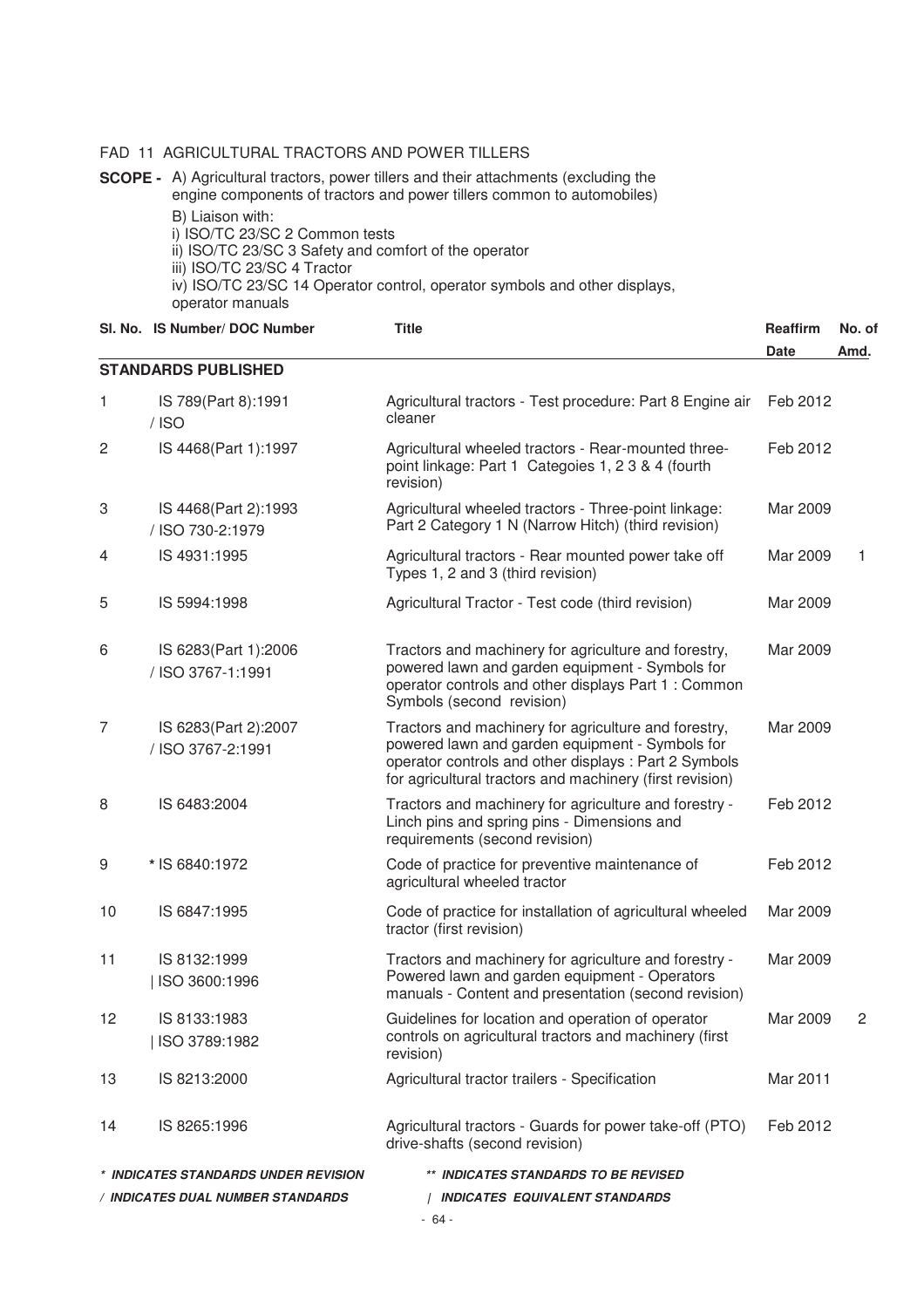### FAD 11 AGRICULTURAL TRACTORS AND POWER TILLERS

**SCOPE -** A) Agricultural tractors, power tillers and their attachments (excluding the engine components of tractors and power tillers common to automobiles) B) Liaison with:

i) ISO/TC 23/SC 2 Common tests

ii) ISO/TC 23/SC 3 Safety and comfort of the operator

iii) ISO/TC 23/SC 4 Tractor

iv) ISO/TC 23/SC 14 Operator control, operator symbols and other displays, operator manuals

|    | SI, No. IS Number/ DOC Number             | <b>Title</b>                                                                                                                                                                                                                 | <b>Reaffirm</b><br>Date | No. of<br>Amd. |
|----|-------------------------------------------|------------------------------------------------------------------------------------------------------------------------------------------------------------------------------------------------------------------------------|-------------------------|----------------|
|    | <b>STANDARDS PUBLISHED</b>                |                                                                                                                                                                                                                              |                         |                |
| 1  | IS 789(Part 8):1991<br>$/$ ISO            | Agricultural tractors - Test procedure: Part 8 Engine air<br>cleaner                                                                                                                                                         | Feb 2012                |                |
| 2  | IS 4468(Part 1):1997                      | Agricultural wheeled tractors - Rear-mounted three-<br>point linkage: Part 1 Categoies 1, 2 3 & 4 (fourth<br>revision)                                                                                                       | Feb 2012                |                |
| 3  | IS 4468(Part 2):1993<br>/ ISO 730-2:1979  | Agricultural wheeled tractors - Three-point linkage:<br>Part 2 Category 1 N (Narrow Hitch) (third revision)                                                                                                                  | Mar 2009                |                |
| 4  | IS 4931:1995                              | Agricultural tractors - Rear mounted power take off<br>Types 1, 2 and 3 (third revision)                                                                                                                                     | Mar 2009                | 1              |
| 5  | IS 5994:1998                              | Agricultural Tractor - Test code (third revision)                                                                                                                                                                            | Mar 2009                |                |
| 6  | IS 6283(Part 1):2006<br>/ ISO 3767-1:1991 | Tractors and machinery for agriculture and forestry,<br>powered lawn and garden equipment - Symbols for<br>operator controls and other displays Part 1 : Common<br>Symbols (second revision)                                 | Mar 2009                |                |
| 7  | IS 6283(Part 2):2007<br>/ ISO 3767-2:1991 | Tractors and machinery for agriculture and forestry,<br>powered lawn and garden equipment - Symbols for<br>operator controls and other displays : Part 2 Symbols<br>for agricultural tractors and machinery (first revision) | Mar 2009                |                |
| 8  | IS 6483:2004                              | Tractors and machinery for agriculture and forestry -<br>Linch pins and spring pins - Dimensions and<br>requirements (second revision)                                                                                       | Feb 2012                |                |
| 9  | * IS 6840:1972                            | Code of practice for preventive maintenance of<br>agricultural wheeled tractor                                                                                                                                               | Feb 2012                |                |
| 10 | IS 6847:1995                              | Code of practice for installation of agricultural wheeled<br>tractor (first revision)                                                                                                                                        | Mar 2009                |                |
| 11 | IS 8132:1999<br>ISO 3600:1996             | Tractors and machinery for agriculture and forestry -<br>Powered lawn and garden equipment - Operators<br>manuals - Content and presentation (second revision)                                                               | Mar 2009                |                |
| 12 | IS 8133:1983<br>ISO 3789:1982             | Guidelines for location and operation of operator<br>controls on agricultural tractors and machinery (first<br>revision)                                                                                                     | Mar 2009                | 2              |
| 13 | IS 8213:2000                              | Agricultural tractor trailers - Specification                                                                                                                                                                                | Mar 2011                |                |
| 14 | IS 8265:1996                              | Agricultural tractors - Guards for power take-off (PTO)<br>drive-shafts (second revision)                                                                                                                                    | Feb 2012                |                |
|    | * INDICATES STANDARDS UNDER REVISION      | ** INDICATES STANDARDS TO BE REVISED                                                                                                                                                                                         |                         |                |
|    | / INDICATES DUAL NUMBER STANDARDS         | <b>INDICATES EQUIVALENT STANDARDS</b>                                                                                                                                                                                        |                         |                |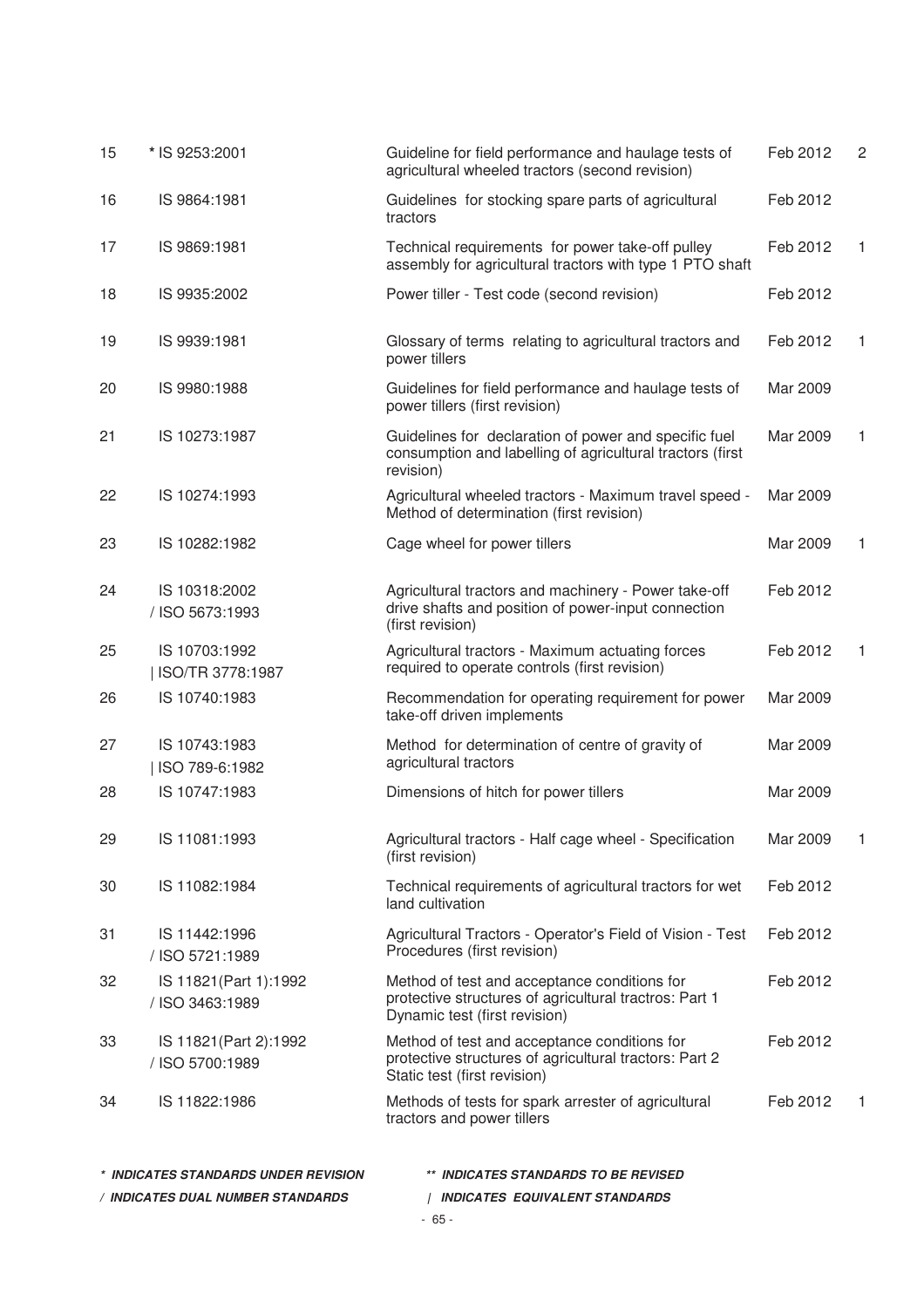| 15 | * IS 9253:2001                            | Guideline for field performance and haulage tests of<br>agricultural wheeled tractors (second revision)                                 | Feb 2012 | 2  |
|----|-------------------------------------------|-----------------------------------------------------------------------------------------------------------------------------------------|----------|----|
| 16 | IS 9864:1981                              | Guidelines for stocking spare parts of agricultural<br>tractors                                                                         | Feb 2012 |    |
| 17 | IS 9869:1981                              | Technical requirements for power take-off pulley<br>assembly for agricultural tractors with type 1 PTO shaft                            | Feb 2012 | 1  |
| 18 | IS 9935:2002                              | Power tiller - Test code (second revision)                                                                                              | Feb 2012 |    |
| 19 | IS 9939:1981                              | Glossary of terms relating to agricultural tractors and<br>power tillers                                                                | Feb 2012 | 1  |
| 20 | IS 9980:1988                              | Guidelines for field performance and haulage tests of<br>power tillers (first revision)                                                 | Mar 2009 |    |
| 21 | IS 10273:1987                             | Guidelines for declaration of power and specific fuel<br>consumption and labelling of agricultural tractors (first<br>revision)         | Mar 2009 | 1  |
| 22 | IS 10274:1993                             | Agricultural wheeled tractors - Maximum travel speed -<br>Method of determination (first revision)                                      | Mar 2009 |    |
| 23 | IS 10282:1982                             | Cage wheel for power tillers                                                                                                            | Mar 2009 | 1  |
| 24 | IS 10318:2002<br>/ ISO 5673:1993          | Agricultural tractors and machinery - Power take-off<br>drive shafts and position of power-input connection<br>(first revision)         | Feb 2012 |    |
| 25 | IS 10703:1992<br>ISO/TR 3778:1987         | Agricultural tractors - Maximum actuating forces<br>required to operate controls (first revision)                                       | Feb 2012 | 1  |
| 26 | IS 10740:1983                             | Recommendation for operating requirement for power<br>take-off driven implements                                                        | Mar 2009 |    |
| 27 | IS 10743:1983<br>ISO 789-6:1982           | Method for determination of centre of gravity of<br>agricultural tractors                                                               | Mar 2009 |    |
| 28 | IS 10747:1983                             | Dimensions of hitch for power tillers                                                                                                   | Mar 2009 |    |
| 29 | IS 11081:1993                             | Agricultural tractors - Half cage wheel - Specification<br>(first revision)                                                             | Mar 2009 | 1. |
| 30 | IS 11082:1984                             | Technical requirements of agricultural tractors for wet<br>land cultivation                                                             | Feb 2012 |    |
| 31 | IS 11442:1996<br>/ ISO 5721:1989          | Agricultural Tractors - Operator's Field of Vision - Test<br>Procedures (first revision)                                                | Feb 2012 |    |
| 32 | IS 11821 (Part 1):1992<br>/ ISO 3463:1989 | Method of test and acceptance conditions for<br>protective structures of agricultural tractros: Part 1<br>Dynamic test (first revision) | Feb 2012 |    |
| 33 | IS 11821 (Part 2):1992<br>/ ISO 5700:1989 | Method of test and acceptance conditions for<br>protective structures of agricultural tractors: Part 2<br>Static test (first revision)  | Feb 2012 |    |
| 34 | IS 11822:1986                             | Methods of tests for spark arrester of agricultural<br>tractors and power tillers                                                       | Feb 2012 | 1  |
|    | * INDICATES STANDARDS UNDER REVISION      | ** INDICATES STANDARDS TO BE REVISED                                                                                                    |          |    |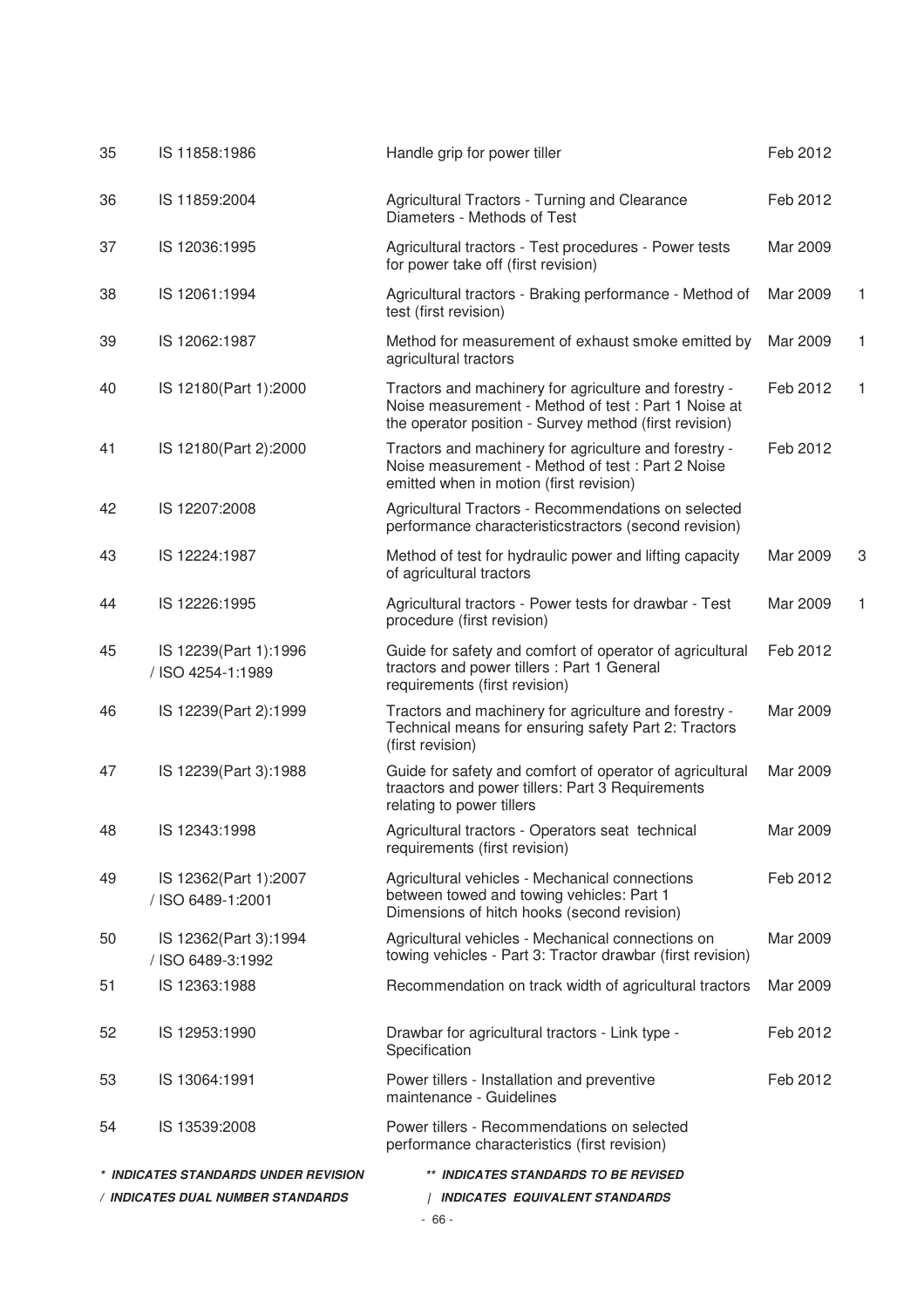| 35 | IS 11858:1986                              | Handle grip for power tiller                                                                                                                                            | Feb 2012 |   |
|----|--------------------------------------------|-------------------------------------------------------------------------------------------------------------------------------------------------------------------------|----------|---|
| 36 | IS 11859:2004                              | Agricultural Tractors - Turning and Clearance<br>Diameters - Methods of Test                                                                                            | Feb 2012 |   |
| 37 | IS 12036:1995                              | Agricultural tractors - Test procedures - Power tests<br>for power take off (first revision)                                                                            | Mar 2009 |   |
| 38 | IS 12061:1994                              | Agricultural tractors - Braking performance - Method of<br>test (first revision)                                                                                        | Mar 2009 | 1 |
| 39 | IS 12062:1987                              | Method for measurement of exhaust smoke emitted by<br>agricultural tractors                                                                                             | Mar 2009 | 1 |
| 40 | IS 12180(Part 1):2000                      | Tractors and machinery for agriculture and forestry -<br>Noise measurement - Method of test : Part 1 Noise at<br>the operator position - Survey method (first revision) | Feb 2012 | 1 |
| 41 | IS 12180(Part 2):2000                      | Tractors and machinery for agriculture and forestry -<br>Noise measurement - Method of test: Part 2 Noise<br>emitted when in motion (first revision)                    | Feb 2012 |   |
| 42 | IS 12207:2008                              | Agricultural Tractors - Recommendations on selected<br>performance characteristicstractors (second revision)                                                            |          |   |
| 43 | IS 12224:1987                              | Method of test for hydraulic power and lifting capacity<br>of agricultural tractors                                                                                     | Mar 2009 | 3 |
| 44 | IS 12226:1995                              | Agricultural tractors - Power tests for drawbar - Test<br>procedure (first revision)                                                                                    | Mar 2009 | 1 |
| 45 | IS 12239(Part 1):1996<br>/ ISO 4254-1:1989 | Guide for safety and comfort of operator of agricultural<br>tractors and power tillers : Part 1 General<br>requirements (first revision)                                | Feb 2012 |   |
| 46 | IS 12239(Part 2):1999                      | Tractors and machinery for agriculture and forestry -<br>Technical means for ensuring safety Part 2: Tractors<br>(first revision)                                       | Mar 2009 |   |
| 47 | IS 12239(Part 3):1988                      | Guide for safety and comfort of operator of agricultural<br>traactors and power tillers: Part 3 Requirements<br>relating to power tillers                               | Mar 2009 |   |
| 48 | IS 12343:1998                              | Agricultural tractors - Operators seat technical<br>requirements (first revision)                                                                                       | Mar 2009 |   |
| 49 | IS 12362(Part 1):2007<br>/ ISO 6489-1:2001 | Agricultural vehicles - Mechanical connections<br>between towed and towing vehicles: Part 1<br>Dimensions of hitch hooks (second revision)                              | Feb 2012 |   |
| 50 | IS 12362(Part 3):1994<br>/ ISO 6489-3:1992 | Agricultural vehicles - Mechanical connections on<br>towing vehicles - Part 3: Tractor drawbar (first revision)                                                         | Mar 2009 |   |
| 51 | IS 12363:1988                              | Recommendation on track width of agricultural tractors                                                                                                                  | Mar 2009 |   |
| 52 | IS 12953:1990                              | Drawbar for agricultural tractors - Link type -<br>Specification                                                                                                        | Feb 2012 |   |
| 53 | IS 13064:1991                              | Power tillers - Installation and preventive<br>maintenance - Guidelines                                                                                                 | Feb 2012 |   |
| 54 | IS 13539:2008                              | Power tillers - Recommendations on selected<br>performance characteristics (first revision)                                                                             |          |   |
|    | * INDICATES STANDARDS UNDER REVISION       | ** INDICATES STANDARDS TO BE REVISED                                                                                                                                    |          |   |
|    | / INDICATES DUAL NUMBER STANDARDS          | <b>INDICATES EQUIVALENT STANDARDS</b>                                                                                                                                   |          |   |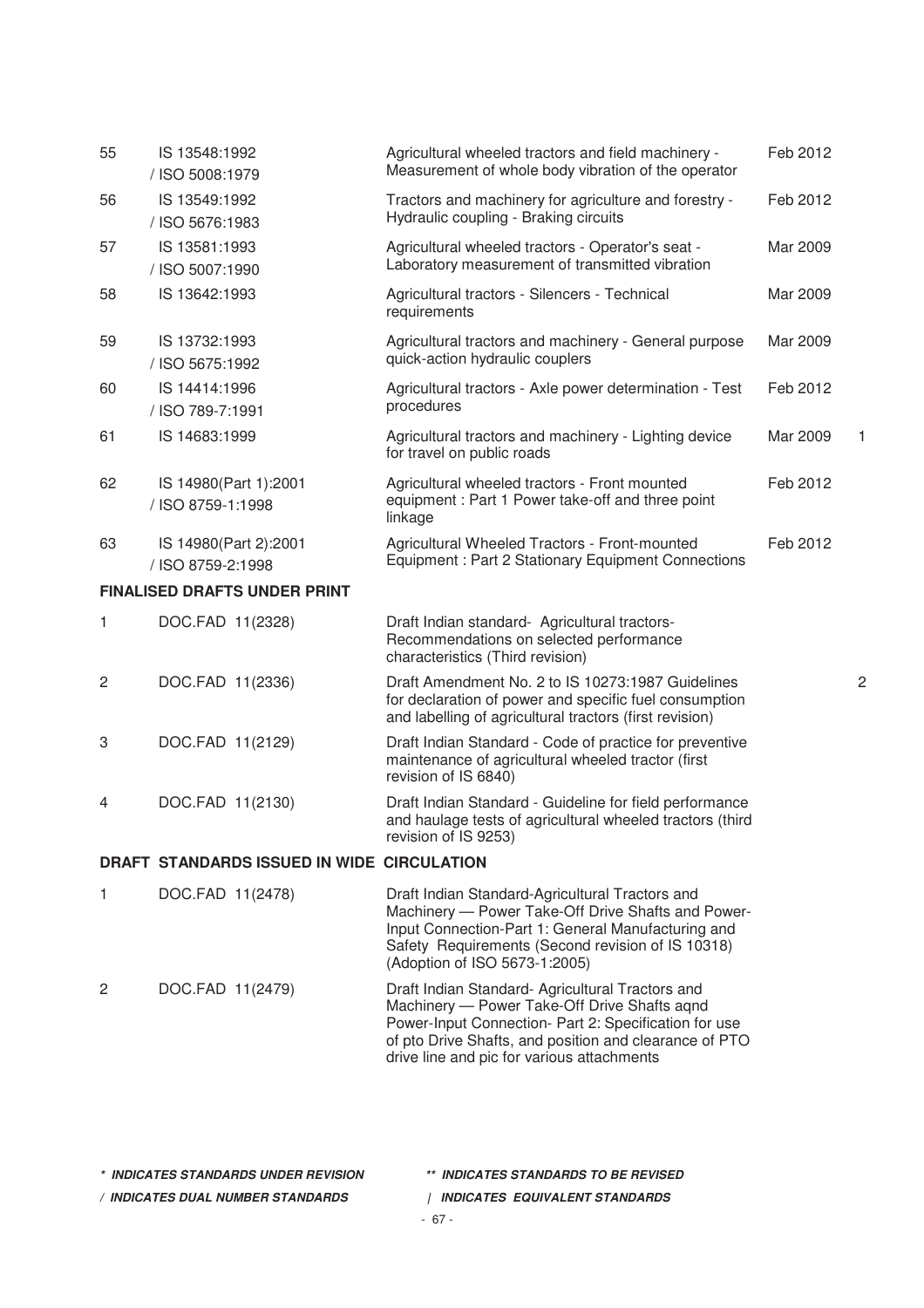| 55 | IS 13548:1992<br>/ ISO 5008:1979           | Agricultural wheeled tractors and field machinery -<br>Measurement of whole body vibration of the operator                                                                                                                                                        | Feb 2012 |                |
|----|--------------------------------------------|-------------------------------------------------------------------------------------------------------------------------------------------------------------------------------------------------------------------------------------------------------------------|----------|----------------|
| 56 | IS 13549:1992<br>/ ISO 5676:1983           | Tractors and machinery for agriculture and forestry -<br>Hydraulic coupling - Braking circuits                                                                                                                                                                    | Feb 2012 |                |
| 57 | IS 13581:1993<br>/ ISO 5007:1990           | Agricultural wheeled tractors - Operator's seat -<br>Laboratory measurement of transmitted vibration                                                                                                                                                              | Mar 2009 |                |
| 58 | IS 13642:1993                              | Agricultural tractors - Silencers - Technical<br>requirements                                                                                                                                                                                                     | Mar 2009 |                |
| 59 | IS 13732:1993<br>/ ISO 5675:1992           | Agricultural tractors and machinery - General purpose<br>quick-action hydraulic couplers                                                                                                                                                                          | Mar 2009 |                |
| 60 | IS 14414:1996<br>/ ISO 789-7:1991          | Agricultural tractors - Axle power determination - Test<br>procedures                                                                                                                                                                                             | Feb 2012 |                |
| 61 | IS 14683:1999                              | Agricultural tractors and machinery - Lighting device<br>for travel on public roads                                                                                                                                                                               | Mar 2009 |                |
| 62 | IS 14980(Part 1):2001<br>/ ISO 8759-1:1998 | Agricultural wheeled tractors - Front mounted<br>equipment: Part 1 Power take-off and three point<br>linkage                                                                                                                                                      | Feb 2012 |                |
| 63 | IS 14980(Part 2):2001<br>/ ISO 8759-2:1998 | Agricultural Wheeled Tractors - Front-mounted<br>Equipment: Part 2 Stationary Equipment Connections                                                                                                                                                               | Feb 2012 |                |
|    | <b>FINALISED DRAFTS UNDER PRINT</b>        |                                                                                                                                                                                                                                                                   |          |                |
| 1  | DOC.FAD 11(2328)                           | Draft Indian standard- Agricultural tractors-<br>Recommendations on selected performance<br>characteristics (Third revision)                                                                                                                                      |          |                |
| 2  | DOC.FAD 11(2336)                           | Draft Amendment No. 2 to IS 10273:1987 Guidelines<br>for declaration of power and specific fuel consumption<br>and labelling of agricultural tractors (first revision)                                                                                            |          | $\overline{c}$ |
| 3  | DOC.FAD 11(2129)                           | Draft Indian Standard - Code of practice for preventive<br>maintenance of agricultural wheeled tractor (first<br>revision of IS 6840)                                                                                                                             |          |                |
| 4  | DOC.FAD 11(2130)                           | Draft Indian Standard - Guideline for field performance<br>and haulage tests of agricultural wheeled tractors (third<br>revision of IS 9253)                                                                                                                      |          |                |
|    | DRAFT STANDARDS ISSUED IN WIDE CIRCULATION |                                                                                                                                                                                                                                                                   |          |                |
| 1  | DOC.FAD 11(2478)                           | Draft Indian Standard-Agricultural Tractors and<br>Machinery - Power Take-Off Drive Shafts and Power-<br>Input Connection-Part 1: General Manufacturing and<br>Safety Requirements (Second revision of IS 10318)<br>(Adoption of ISO 5673-1:2005)                 |          |                |
| 2  | DOC.FAD 11(2479)                           | Draft Indian Standard- Agricultural Tractors and<br>Machinery - Power Take-Off Drive Shafts agnd<br>Power-Input Connection- Part 2: Specification for use<br>of pto Drive Shafts, and position and clearance of PTO<br>drive line and pic for various attachments |          |                |

**\* INDICATES STANDARDS UNDER REVISION \*\* INDICATES STANDARDS TO BE REVISED**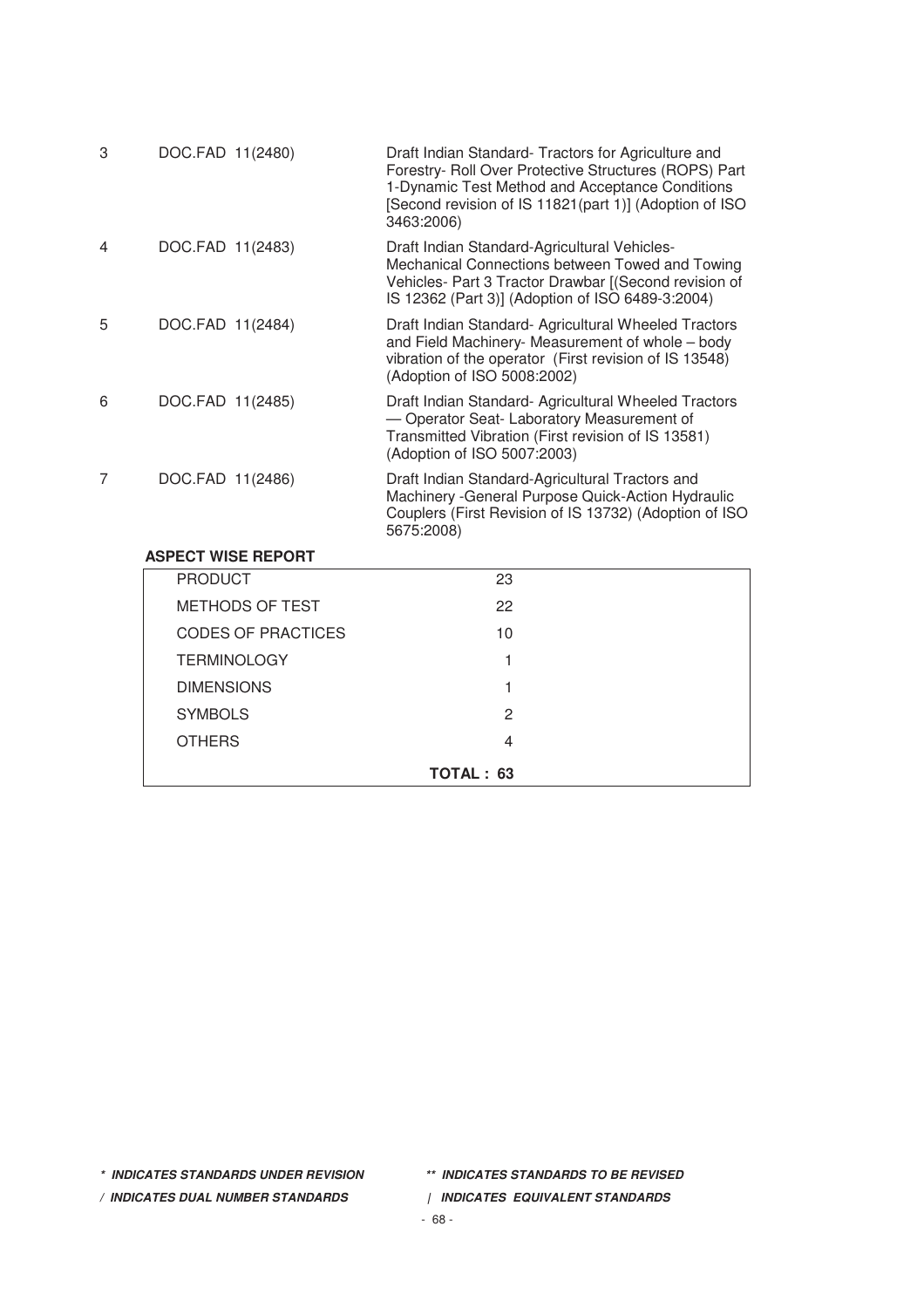| 3 | DOC.FAD 11(2480)          | Draft Indian Standard- Tractors for Agriculture and<br>Forestry- Roll Over Protective Structures (ROPS) Part<br>1-Dynamic Test Method and Acceptance Conditions<br>[Second revision of IS 11821(part 1)] (Adoption of ISO<br>3463:2006) |
|---|---------------------------|-----------------------------------------------------------------------------------------------------------------------------------------------------------------------------------------------------------------------------------------|
| 4 | DOC.FAD 11(2483)          | Draft Indian Standard-Agricultural Vehicles-<br>Mechanical Connections between Towed and Towing<br>Vehicles- Part 3 Tractor Drawbar [(Second revision of<br>IS 12362 (Part 3)] (Adoption of ISO 6489-3:2004)                            |
| 5 | DOC.FAD 11(2484)          | Draft Indian Standard- Agricultural Wheeled Tractors<br>and Field Machinery- Measurement of whole - body<br>vibration of the operator (First revision of IS 13548)<br>(Adoption of ISO 5008:2002)                                       |
| 6 | DOC.FAD 11(2485)          | Draft Indian Standard- Agricultural Wheeled Tractors<br>- Operator Seat- Laboratory Measurement of<br>Transmitted Vibration (First revision of IS 13581)<br>(Adoption of ISO 5007:2003)                                                 |
| 7 | DOC.FAD 11(2486)          | Draft Indian Standard-Agricultural Tractors and<br>Machinery - General Purpose Quick-Action Hydraulic<br>Couplers (First Revision of IS 13732) (Adoption of ISO<br>5675:2008)                                                           |
|   | <b>ASPECT WISE REPORT</b> |                                                                                                                                                                                                                                         |
|   | <b>PRODUCT</b>            | 23                                                                                                                                                                                                                                      |
|   | <b>METHODS OF TEST</b>    | 22                                                                                                                                                                                                                                      |
|   | <b>CODES OF PRACTICES</b> | 10                                                                                                                                                                                                                                      |
|   | <b>TERMINOLOGY</b>        | 1                                                                                                                                                                                                                                       |
|   | <b>DIMENSIONS</b>         | 1                                                                                                                                                                                                                                       |
|   | <b>SYMBOLS</b>            | $\overline{c}$                                                                                                                                                                                                                          |
|   | <b>OTHERS</b>             | 4                                                                                                                                                                                                                                       |

**TOTAL : 63**

**\* INDICATES STANDARDS UNDER REVISION \*\* INDICATES STANDARDS TO BE REVISED**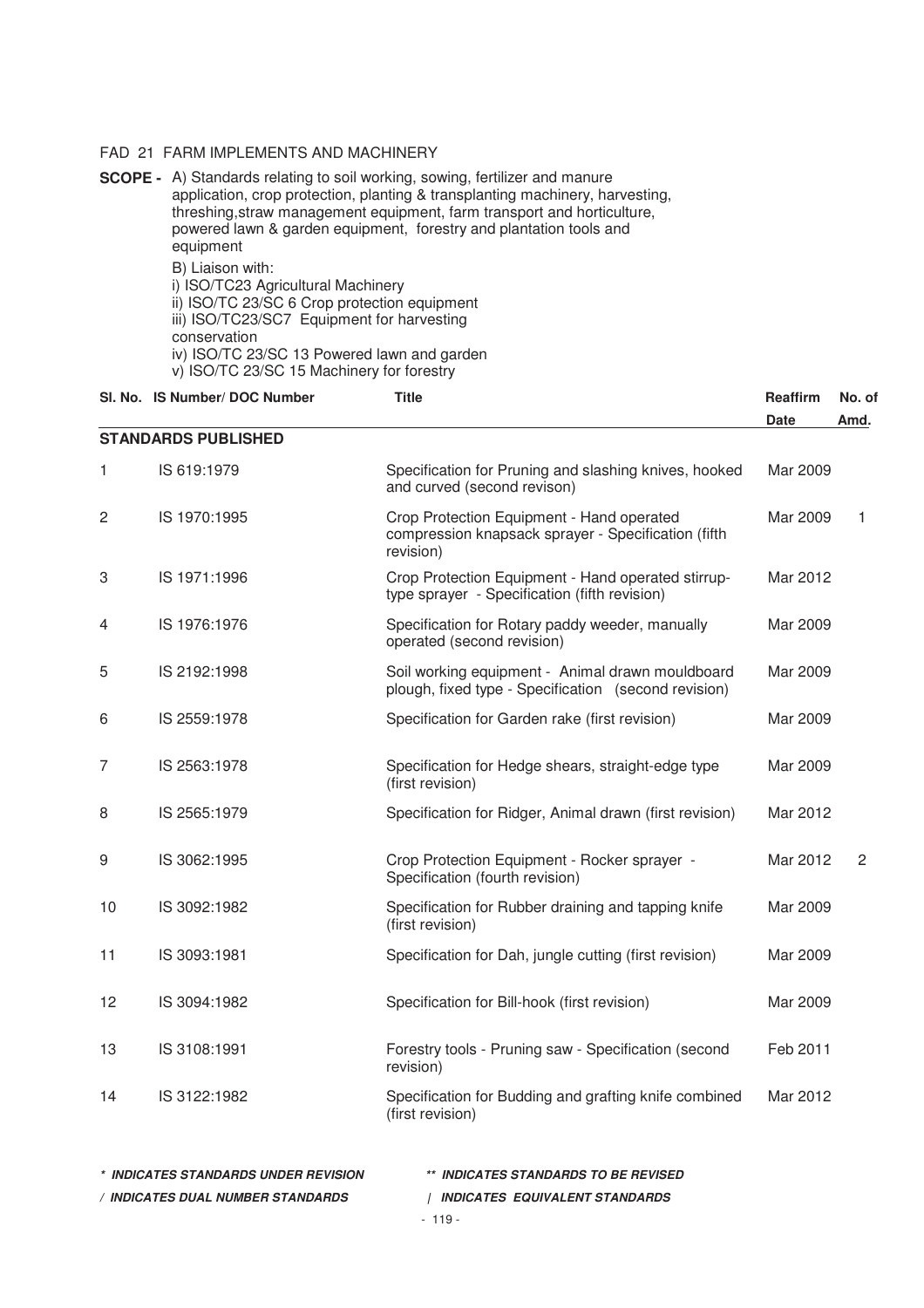#### FAD 21 FARM IMPLEMENTS AND MACHINERY

**SCOPE -** A) Standards relating to soil working, sowing, fertilizer and manure application, crop protection, planting & transplanting machinery, harvesting, threshing,straw management equipment, farm transport and horticulture, powered lawn & garden equipment, forestry and plantation tools and equipment B) Liaison with: i) ISO/TC23 Agricultural Machinery ii) ISO/TC 23/SC 6 Crop protection equipment

iii) ISO/TC23/SC7 Equipment for harvesting

conservation

iv) ISO/TC 23/SC 13 Powered lawn and garden

v) ISO/TC 23/SC 15 Machinery for forestry

|    | SI. No. IS Number/ DOC Number | <b>Title</b>                                                                                                  | Reaffirm    | No. of         |
|----|-------------------------------|---------------------------------------------------------------------------------------------------------------|-------------|----------------|
|    |                               |                                                                                                               | <b>Date</b> | Amd.           |
|    | <b>STANDARDS PUBLISHED</b>    |                                                                                                               |             |                |
| 1  | IS 619:1979                   | Specification for Pruning and slashing knives, hooked<br>and curved (second revison)                          | Mar 2009    |                |
| 2  | IS 1970:1995                  | Crop Protection Equipment - Hand operated<br>compression knapsack sprayer - Specification (fifth<br>revision) | Mar 2009    | 1              |
| 3  | IS 1971:1996                  | Crop Protection Equipment - Hand operated stirrup-<br>type sprayer - Specification (fifth revision)           | Mar 2012    |                |
| 4  | IS 1976:1976                  | Specification for Rotary paddy weeder, manually<br>operated (second revision)                                 | Mar 2009    |                |
| 5  | IS 2192:1998                  | Soil working equipment - Animal drawn mouldboard<br>plough, fixed type - Specification (second revision)      | Mar 2009    |                |
| 6  | IS 2559:1978                  | Specification for Garden rake (first revision)                                                                | Mar 2009    |                |
| 7  | IS 2563:1978                  | Specification for Hedge shears, straight-edge type<br>(first revision)                                        | Mar 2009    |                |
| 8  | IS 2565:1979                  | Specification for Ridger, Animal drawn (first revision)                                                       | Mar 2012    |                |
| 9  | IS 3062:1995                  | Crop Protection Equipment - Rocker sprayer -<br>Specification (fourth revision)                               | Mar 2012    | $\overline{c}$ |
| 10 | IS 3092:1982                  | Specification for Rubber draining and tapping knife<br>(first revision)                                       | Mar 2009    |                |
| 11 | IS 3093:1981                  | Specification for Dah, jungle cutting (first revision)                                                        | Mar 2009    |                |
| 12 | IS 3094:1982                  | Specification for Bill-hook (first revision)                                                                  | Mar 2009    |                |
| 13 | IS 3108:1991                  | Forestry tools - Pruning saw - Specification (second<br>revision)                                             | Feb 2011    |                |
| 14 | IS 3122:1982                  | Specification for Budding and grafting knife combined<br>(first revision)                                     | Mar 2012    |                |
|    |                               |                                                                                                               |             |                |

| * INDICATES STANDARDS UNDER REVISION | ** INDICATES STANDARDS TO BE REVISED |
|--------------------------------------|--------------------------------------|
| / INDICATES DUAL NUMBER STANDARDS    | INDICATES EQUIVALENT STANDARDS       |
|                                      | $-119-$                              |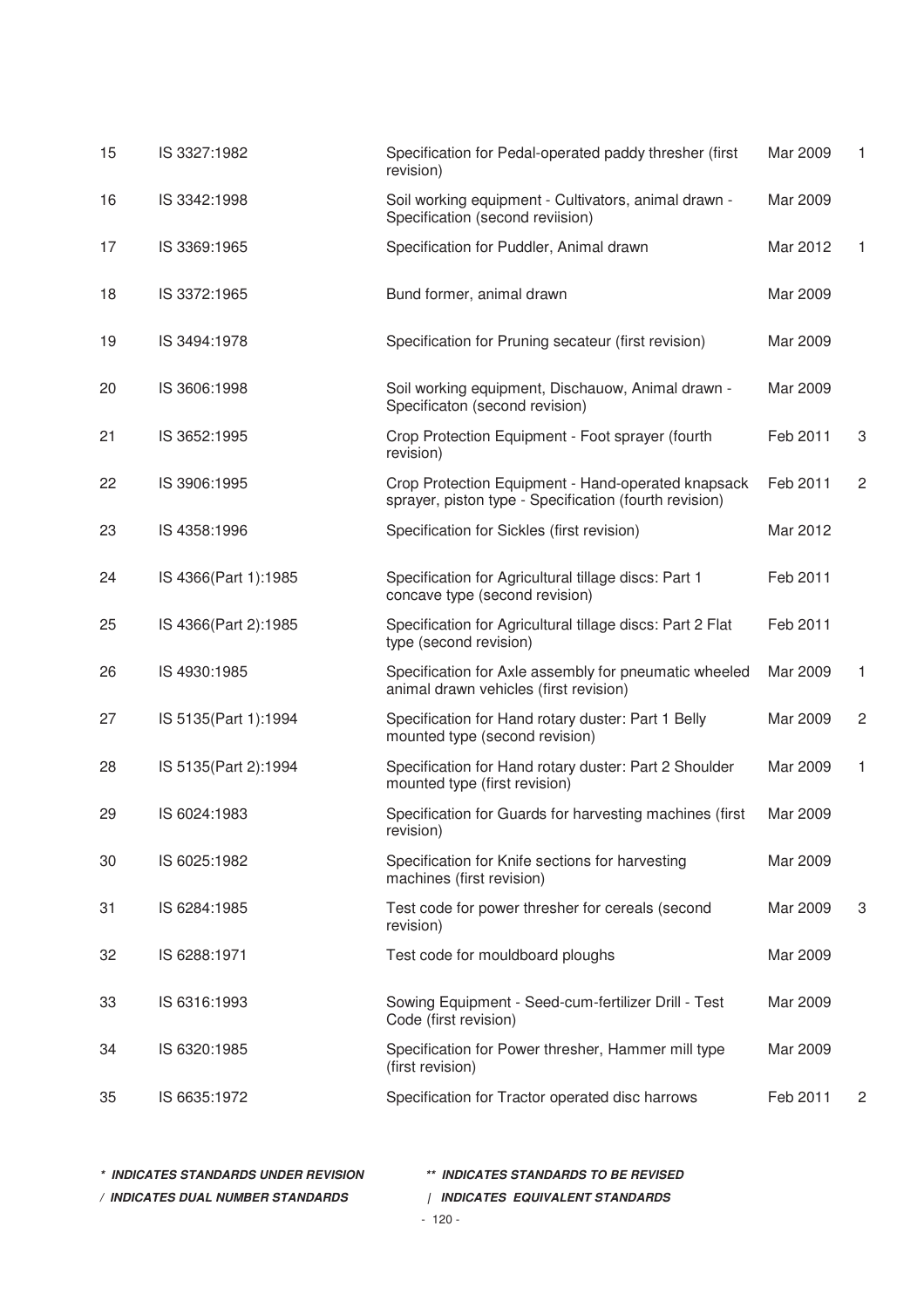| 15 | IS 3327:1982         | Specification for Pedal-operated paddy thresher (first<br>revision)                                          | Mar 2009 | 1              |
|----|----------------------|--------------------------------------------------------------------------------------------------------------|----------|----------------|
| 16 | IS 3342:1998         | Soil working equipment - Cultivators, animal drawn -<br>Specification (second reviision)                     | Mar 2009 |                |
| 17 | IS 3369:1965         | Specification for Puddler, Animal drawn                                                                      | Mar 2012 | 1              |
| 18 | IS 3372:1965         | Bund former, animal drawn                                                                                    | Mar 2009 |                |
| 19 | IS 3494:1978         | Specification for Pruning secateur (first revision)                                                          | Mar 2009 |                |
| 20 | IS 3606:1998         | Soil working equipment, Dischauow, Animal drawn -<br>Specificaton (second revision)                          | Mar 2009 |                |
| 21 | IS 3652:1995         | Crop Protection Equipment - Foot sprayer (fourth<br>revision)                                                | Feb 2011 | 3              |
| 22 | IS 3906:1995         | Crop Protection Equipment - Hand-operated knapsack<br>sprayer, piston type - Specification (fourth revision) | Feb 2011 | $\overline{c}$ |
| 23 | IS 4358:1996         | Specification for Sickles (first revision)                                                                   | Mar 2012 |                |
| 24 | IS 4366(Part 1):1985 | Specification for Agricultural tillage discs: Part 1<br>concave type (second revision)                       | Feb 2011 |                |
| 25 | IS 4366(Part 2):1985 | Specification for Agricultural tillage discs: Part 2 Flat<br>type (second revision)                          | Feb 2011 |                |
| 26 | IS 4930:1985         | Specification for Axle assembly for pneumatic wheeled<br>animal drawn vehicles (first revision)              | Mar 2009 | 1              |
| 27 | IS 5135(Part 1):1994 | Specification for Hand rotary duster: Part 1 Belly<br>mounted type (second revision)                         | Mar 2009 | $\sqrt{2}$     |
| 28 | IS 5135(Part 2):1994 | Specification for Hand rotary duster: Part 2 Shoulder<br>mounted type (first revision)                       | Mar 2009 | 1              |
| 29 | IS 6024:1983         | Specification for Guards for harvesting machines (first<br>revision)                                         | Mar 2009 |                |
| 30 | IS 6025:1982         | Specification for Knife sections for harvesting<br>machines (first revision)                                 | Mar 2009 |                |
| 31 | IS 6284:1985         | Test code for power thresher for cereals (second<br>revision)                                                | Mar 2009 | 3              |
| 32 | IS 6288:1971         | Test code for mouldboard ploughs                                                                             | Mar 2009 |                |
| 33 | IS 6316:1993         | Sowing Equipment - Seed-cum-fertilizer Drill - Test<br>Code (first revision)                                 | Mar 2009 |                |
| 34 | IS 6320:1985         | Specification for Power thresher, Hammer mill type<br>(first revision)                                       | Mar 2009 |                |
| 35 | IS 6635:1972         | Specification for Tractor operated disc harrows                                                              | Feb 2011 | 2              |

| * INDICATES STANDARDS UNDER REVISION | ** INDICATES STANDARDS TO BE REVISED  |
|--------------------------------------|---------------------------------------|
| ′ INDICATES DUAL NUMBER STANDARDS    | <b>INDICATES EQUIVALENT STANDARDS</b> |
|                                      | $-120-$                               |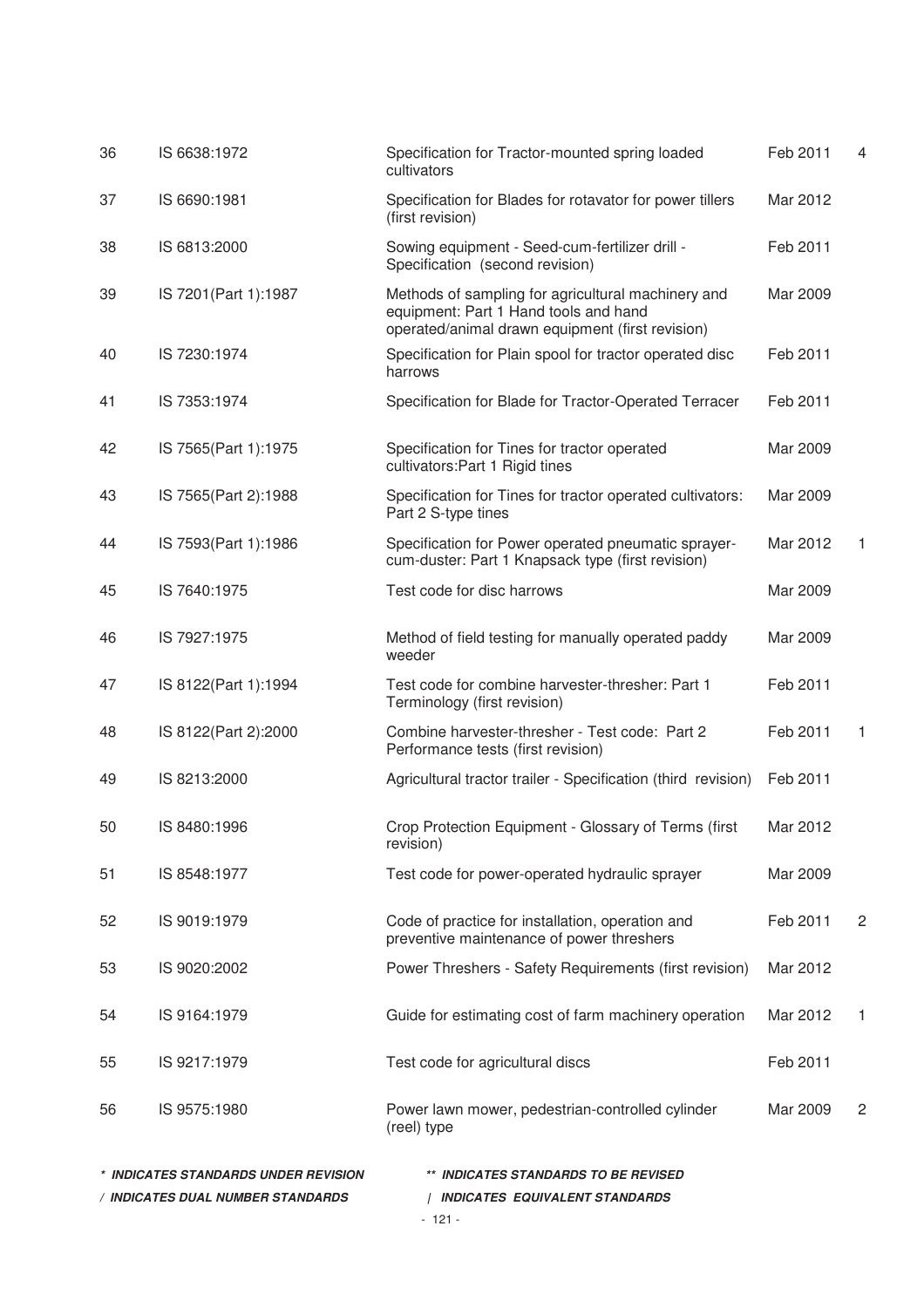|    | * INDICATES STANDARDS UNDER REVISION<br>/ INDICATES DUAL NUMBER STANDARDS | ** INDICATES STANDARDS TO BE REVISED<br><b>INDICATES EQUIVALENT STANDARDS</b>                                                                   |          |                |
|----|---------------------------------------------------------------------------|-------------------------------------------------------------------------------------------------------------------------------------------------|----------|----------------|
| 56 | IS 9575:1980                                                              | Power lawn mower, pedestrian-controlled cylinder<br>(reel) type                                                                                 | Mar 2009 | 2              |
| 55 | IS 9217:1979                                                              | Test code for agricultural discs                                                                                                                | Feb 2011 |                |
| 54 | IS 9164:1979                                                              | Guide for estimating cost of farm machinery operation                                                                                           | Mar 2012 | 1              |
| 53 | IS 9020:2002                                                              | Power Threshers - Safety Requirements (first revision)                                                                                          | Mar 2012 |                |
| 52 | IS 9019:1979                                                              | Code of practice for installation, operation and<br>preventive maintenance of power threshers                                                   | Feb 2011 | $\overline{c}$ |
| 51 | IS 8548:1977                                                              | Test code for power-operated hydraulic sprayer                                                                                                  | Mar 2009 |                |
| 50 | IS 8480:1996                                                              | Crop Protection Equipment - Glossary of Terms (first<br>revision)                                                                               | Mar 2012 |                |
| 49 | IS 8213:2000                                                              | Agricultural tractor trailer - Specification (third revision)                                                                                   | Feb 2011 |                |
| 48 | IS 8122(Part 2):2000                                                      | Combine harvester-thresher - Test code: Part 2<br>Performance tests (first revision)                                                            | Feb 2011 | 1              |
| 47 | IS 8122(Part 1):1994                                                      | Test code for combine harvester-thresher: Part 1<br>Terminology (first revision)                                                                | Feb 2011 |                |
| 46 | IS 7927:1975                                                              | Method of field testing for manually operated paddy<br>weeder                                                                                   | Mar 2009 |                |
| 45 | IS 7640:1975                                                              | Test code for disc harrows                                                                                                                      | Mar 2009 |                |
| 44 | IS 7593(Part 1):1986                                                      | Specification for Power operated pneumatic sprayer-<br>cum-duster: Part 1 Knapsack type (first revision)                                        | Mar 2012 | 1              |
| 43 | IS 7565(Part 2):1988                                                      | Specification for Tines for tractor operated cultivators:<br>Part 2 S-type tines                                                                | Mar 2009 |                |
| 42 | IS 7565(Part 1):1975                                                      | Specification for Tines for tractor operated<br>cultivators: Part 1 Rigid tines                                                                 | Mar 2009 |                |
| 41 | IS 7353:1974                                                              | Specification for Blade for Tractor-Operated Terracer                                                                                           | Feb 2011 |                |
| 40 | IS 7230:1974                                                              | Specification for Plain spool for tractor operated disc<br>harrows                                                                              | Feb 2011 |                |
| 39 | IS 7201(Part 1):1987                                                      | Methods of sampling for agricultural machinery and<br>equipment: Part 1 Hand tools and hand<br>operated/animal drawn equipment (first revision) | Mar 2009 |                |
| 38 | IS 6813:2000                                                              | Sowing equipment - Seed-cum-fertilizer drill -<br>Specification (second revision)                                                               | Feb 2011 |                |
| 37 | IS 6690:1981                                                              | Specification for Blades for rotavator for power tillers<br>(first revision)                                                                    | Mar 2012 |                |
| 36 | IS 6638:1972                                                              | Specification for Tractor-mounted spring loaded<br>cultivators                                                                                  | Feb 2011 | 4              |

<sup>- 121 -</sup>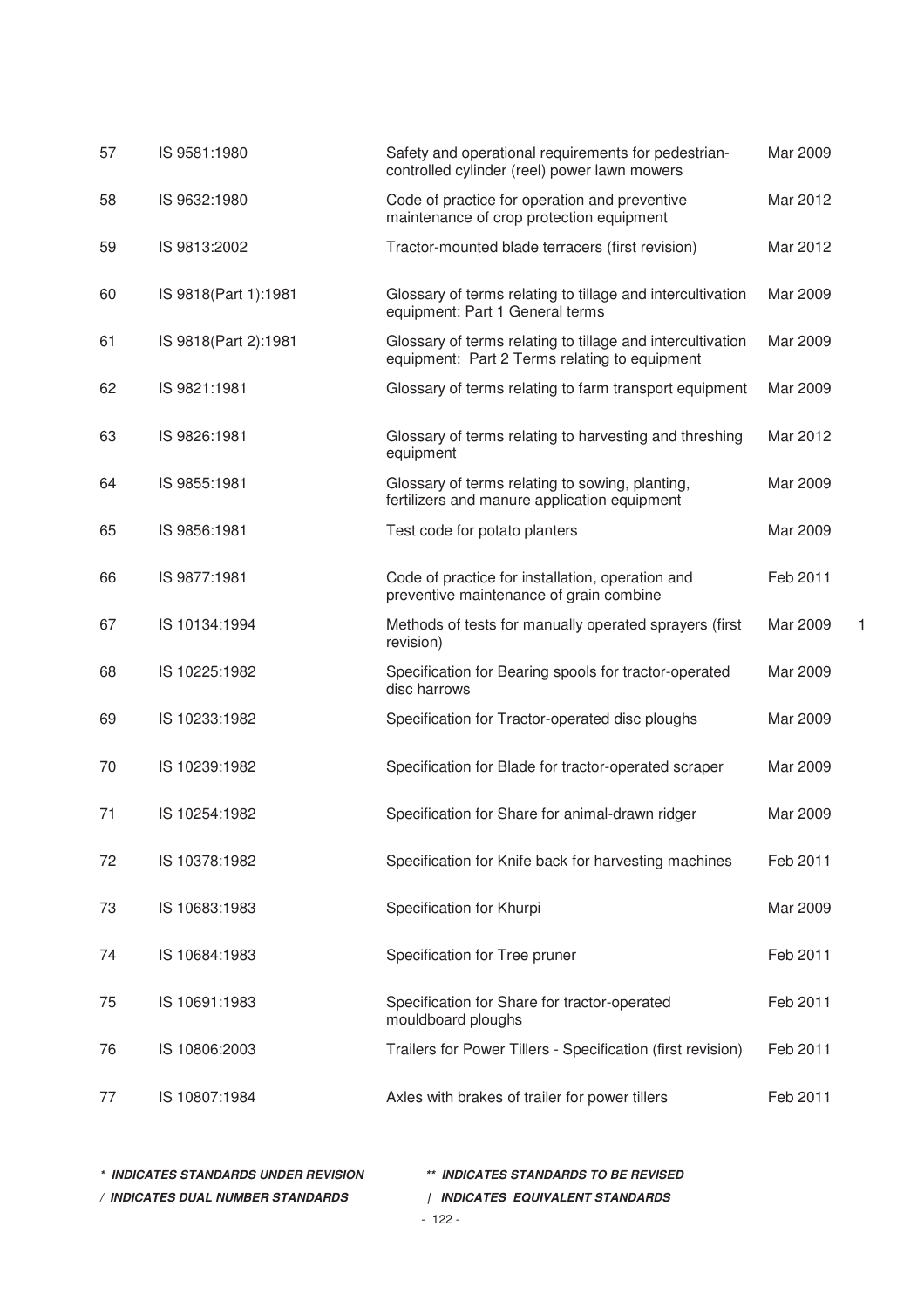| 57 | IS 9581:1980         | Safety and operational requirements for pedestrian-<br>controlled cylinder (reel) power lawn mowers         | Mar 2009 |  |
|----|----------------------|-------------------------------------------------------------------------------------------------------------|----------|--|
| 58 | IS 9632:1980         | Code of practice for operation and preventive<br>maintenance of crop protection equipment                   | Mar 2012 |  |
| 59 | IS 9813:2002         | Tractor-mounted blade terracers (first revision)                                                            | Mar 2012 |  |
| 60 | IS 9818(Part 1):1981 | Glossary of terms relating to tillage and intercultivation<br>equipment: Part 1 General terms               | Mar 2009 |  |
| 61 | IS 9818(Part 2):1981 | Glossary of terms relating to tillage and intercultivation<br>equipment: Part 2 Terms relating to equipment | Mar 2009 |  |
| 62 | IS 9821:1981         | Glossary of terms relating to farm transport equipment                                                      | Mar 2009 |  |
| 63 | IS 9826:1981         | Glossary of terms relating to harvesting and threshing<br>equipment                                         | Mar 2012 |  |
| 64 | IS 9855:1981         | Glossary of terms relating to sowing, planting,<br>fertilizers and manure application equipment             | Mar 2009 |  |
| 65 | IS 9856:1981         | Test code for potato planters                                                                               | Mar 2009 |  |
| 66 | IS 9877:1981         | Code of practice for installation, operation and<br>preventive maintenance of grain combine                 | Feb 2011 |  |
| 67 | IS 10134:1994        | Methods of tests for manually operated sprayers (first<br>revision)                                         | Mar 2009 |  |
| 68 | IS 10225:1982        | Specification for Bearing spools for tractor-operated<br>disc harrows                                       | Mar 2009 |  |
| 69 | IS 10233:1982        | Specification for Tractor-operated disc ploughs                                                             | Mar 2009 |  |
| 70 | IS 10239:1982        | Specification for Blade for tractor-operated scraper                                                        | Mar 2009 |  |
| 71 | IS 10254:1982        | Specification for Share for animal-drawn ridger                                                             | Mar 2009 |  |
| 72 | IS 10378:1982        | Specification for Knife back for harvesting machines                                                        | Feb 2011 |  |
| 73 | IS 10683:1983        | Specification for Khurpi                                                                                    | Mar 2009 |  |
| 74 | IS 10684:1983        | Specification for Tree pruner                                                                               | Feb 2011 |  |
| 75 | IS 10691:1983        | Specification for Share for tractor-operated<br>mouldboard ploughs                                          | Feb 2011 |  |
| 76 | IS 10806:2003        | Trailers for Power Tillers - Specification (first revision)                                                 | Feb 2011 |  |
| 77 | IS 10807:1984        | Axles with brakes of trailer for power tillers                                                              | Feb 2011 |  |

**\* INDICATES STANDARDS UNDER REVISION \*\* INDICATES STANDARDS TO BE REVISED** 

**/ INDICATES DUAL NUMBER STANDARDS | INDICATES EQUIVALENT STANDARDS** 

- 122 -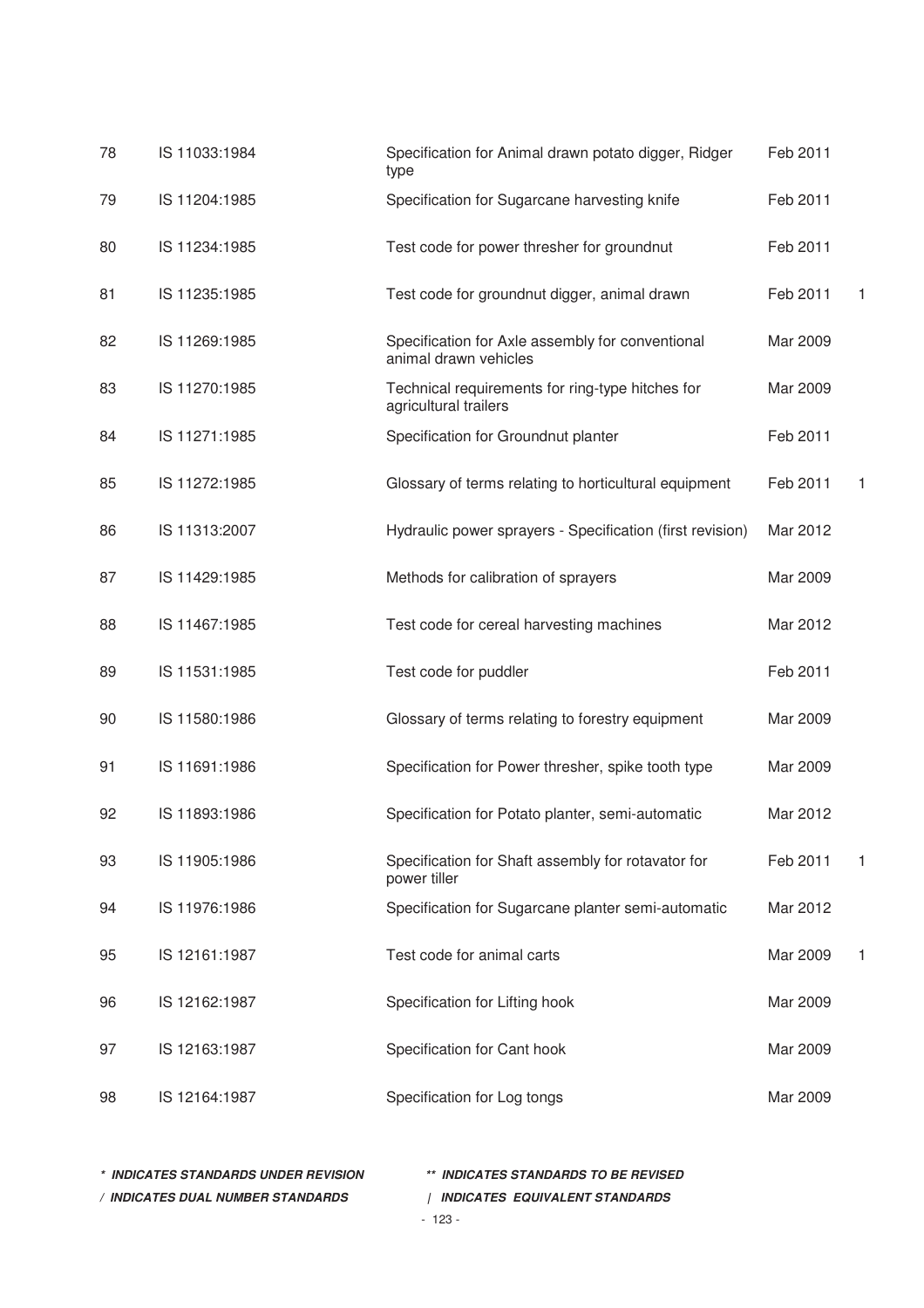| 78 | IS 11033:1984 | Specification for Animal drawn potato digger, Ridger<br>type              | Feb 2011 |   |
|----|---------------|---------------------------------------------------------------------------|----------|---|
| 79 | IS 11204:1985 | Specification for Sugarcane harvesting knife                              | Feb 2011 |   |
| 80 | IS 11234:1985 | Test code for power thresher for groundnut                                | Feb 2011 |   |
| 81 | IS 11235:1985 | Test code for groundnut digger, animal drawn                              | Feb 2011 | 1 |
| 82 | IS 11269:1985 | Specification for Axle assembly for conventional<br>animal drawn vehicles | Mar 2009 |   |
| 83 | IS 11270:1985 | Technical requirements for ring-type hitches for<br>agricultural trailers | Mar 2009 |   |
| 84 | IS 11271:1985 | Specification for Groundnut planter                                       | Feb 2011 |   |
| 85 | IS 11272:1985 | Glossary of terms relating to horticultural equipment                     | Feb 2011 | 1 |
| 86 | IS 11313:2007 | Hydraulic power sprayers - Specification (first revision)                 | Mar 2012 |   |
| 87 | IS 11429:1985 | Methods for calibration of sprayers                                       | Mar 2009 |   |
| 88 | IS 11467:1985 | Test code for cereal harvesting machines                                  | Mar 2012 |   |
| 89 | IS 11531:1985 | Test code for puddler                                                     | Feb 2011 |   |
| 90 | IS 11580:1986 | Glossary of terms relating to forestry equipment                          | Mar 2009 |   |
| 91 | IS 11691:1986 | Specification for Power thresher, spike tooth type                        | Mar 2009 |   |
| 92 | IS 11893:1986 | Specification for Potato planter, semi-automatic                          | Mar 2012 |   |
| 93 | IS 11905:1986 | Specification for Shaft assembly for rotavator for<br>power tiller        | Feb 2011 | 1 |
| 94 | IS 11976:1986 | Specification for Sugarcane planter semi-automatic                        | Mar 2012 |   |
| 95 | IS 12161:1987 | Test code for animal carts                                                | Mar 2009 | 1 |
| 96 | IS 12162:1987 | Specification for Lifting hook                                            | Mar 2009 |   |
| 97 | IS 12163:1987 | Specification for Cant hook                                               | Mar 2009 |   |
| 98 | IS 12164:1987 | Specification for Log tongs                                               | Mar 2009 |   |

**\* INDICATES STANDARDS UNDER REVISION \*\* INDICATES STANDARDS TO BE REVISED**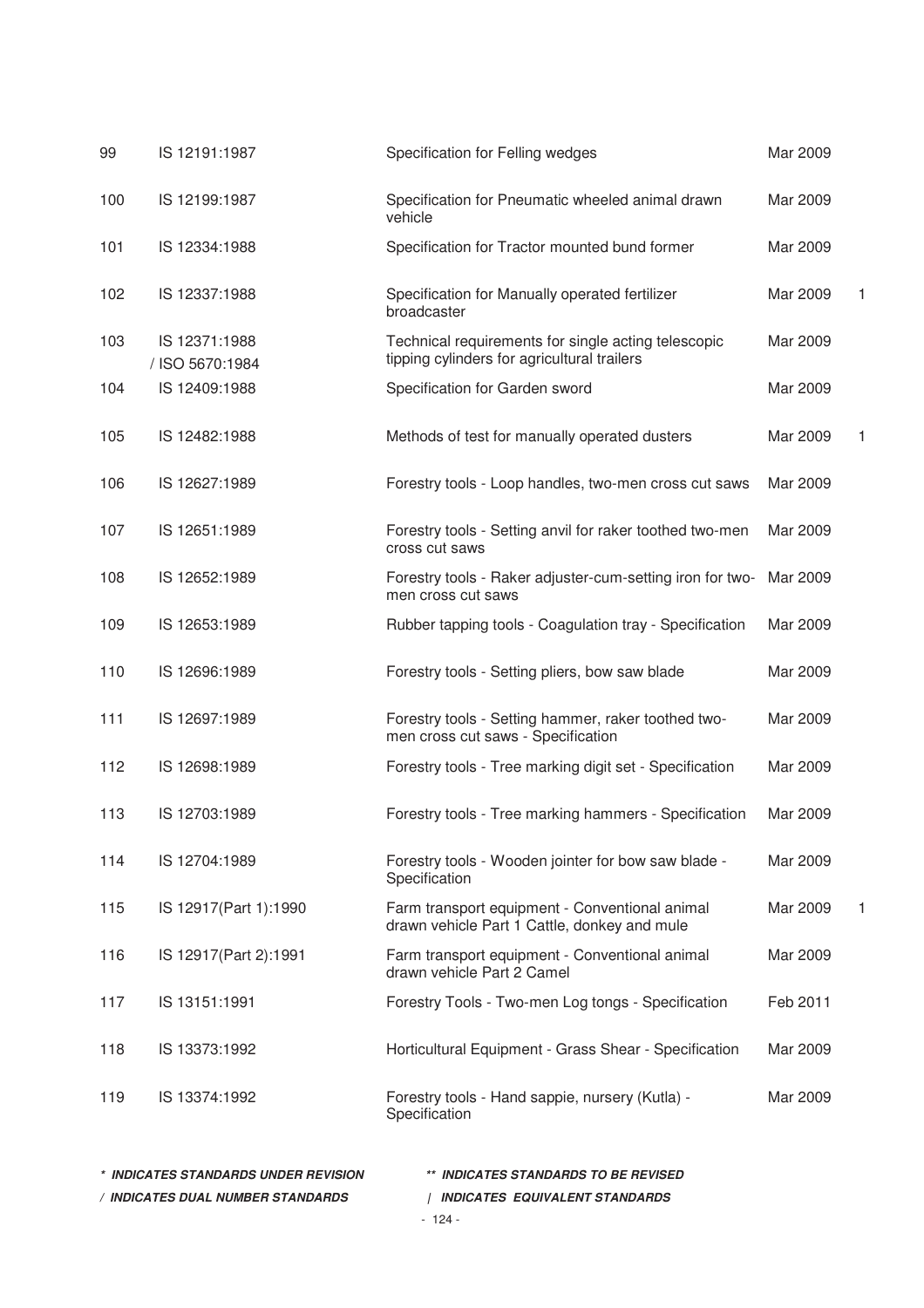| 99  | IS 12191:1987                    | Specification for Felling wedges                                                                   | Mar 2009 |   |
|-----|----------------------------------|----------------------------------------------------------------------------------------------------|----------|---|
| 100 | IS 12199:1987                    | Specification for Pneumatic wheeled animal drawn<br>vehicle                                        | Mar 2009 |   |
| 101 | IS 12334:1988                    | Specification for Tractor mounted bund former                                                      | Mar 2009 |   |
| 102 | IS 12337:1988                    | Specification for Manually operated fertilizer<br>broadcaster                                      | Mar 2009 |   |
| 103 | IS 12371:1988<br>/ ISO 5670:1984 | Technical requirements for single acting telescopic<br>tipping cylinders for agricultural trailers | Mar 2009 |   |
| 104 | IS 12409:1988                    | Specification for Garden sword                                                                     | Mar 2009 |   |
| 105 | IS 12482:1988                    | Methods of test for manually operated dusters                                                      | Mar 2009 |   |
| 106 | IS 12627:1989                    | Forestry tools - Loop handles, two-men cross cut saws                                              | Mar 2009 |   |
| 107 | IS 12651:1989                    | Forestry tools - Setting anvil for raker toothed two-men<br>cross cut saws                         | Mar 2009 |   |
| 108 | IS 12652:1989                    | Forestry tools - Raker adjuster-cum-setting iron for two-<br>men cross cut saws                    | Mar 2009 |   |
| 109 | IS 12653:1989                    | Rubber tapping tools - Coagulation tray - Specification                                            | Mar 2009 |   |
| 110 | IS 12696:1989                    | Forestry tools - Setting pliers, bow saw blade                                                     | Mar 2009 |   |
| 111 | IS 12697:1989                    | Forestry tools - Setting hammer, raker toothed two-<br>men cross cut saws - Specification          | Mar 2009 |   |
| 112 | IS 12698:1989                    | Forestry tools - Tree marking digit set - Specification                                            | Mar 2009 |   |
| 113 | IS 12703:1989                    | Forestry tools - Tree marking hammers - Specification                                              | Mar 2009 |   |
| 114 | IS 12704:1989                    | Forestry tools - Wooden jointer for bow saw blade -<br>Specification                               | Mar 2009 |   |
| 115 | IS 12917(Part 1):1990            | Farm transport equipment - Conventional animal<br>drawn vehicle Part 1 Cattle, donkey and mule     | Mar 2009 | 1 |
| 116 | IS 12917(Part 2):1991            | Farm transport equipment - Conventional animal<br>drawn vehicle Part 2 Camel                       | Mar 2009 |   |
| 117 | IS 13151:1991                    | Forestry Tools - Two-men Log tongs - Specification                                                 | Feb 2011 |   |
| 118 | IS 13373:1992                    | Horticultural Equipment - Grass Shear - Specification                                              | Mar 2009 |   |
| 119 | IS 13374:1992                    | Forestry tools - Hand sappie, nursery (Kutla) -<br>Specification                                   | Mar 2009 |   |
|     |                                  |                                                                                                    |          |   |

| * INDICATES STANDARDS UNDER REVISION | ** INDICATES STANDARDS TO BE REVISED |
|--------------------------------------|--------------------------------------|
| / INDICATES DUAL NUMBER STANDARDS    | INDICATES EQUIVALENT STANDARDS       |
|                                      | - 124 -                              |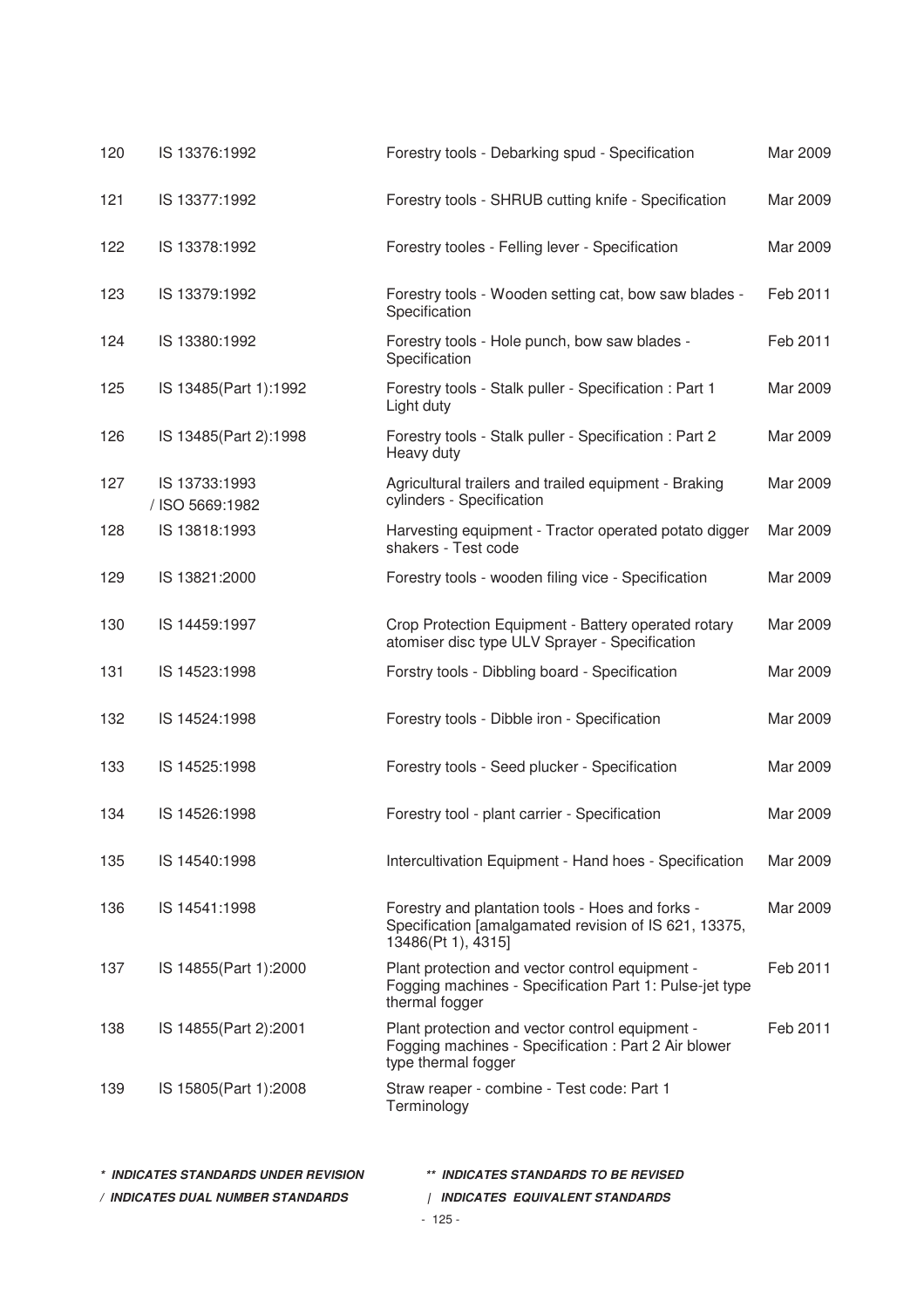| 120 | IS 13376:1992                    | Forestry tools - Debarking spud - Specification                                                                                 | Mar 2009 |
|-----|----------------------------------|---------------------------------------------------------------------------------------------------------------------------------|----------|
| 121 | IS 13377:1992                    | Forestry tools - SHRUB cutting knife - Specification                                                                            | Mar 2009 |
| 122 | IS 13378:1992                    | Forestry tooles - Felling lever - Specification                                                                                 | Mar 2009 |
| 123 | IS 13379:1992                    | Forestry tools - Wooden setting cat, bow saw blades -<br>Specification                                                          | Feb 2011 |
| 124 | IS 13380:1992                    | Forestry tools - Hole punch, bow saw blades -<br>Specification                                                                  | Feb 2011 |
| 125 | IS 13485(Part 1):1992            | Forestry tools - Stalk puller - Specification : Part 1<br>Light duty                                                            | Mar 2009 |
| 126 | IS 13485(Part 2):1998            | Forestry tools - Stalk puller - Specification : Part 2<br>Heavy duty                                                            | Mar 2009 |
| 127 | IS 13733:1993<br>/ ISO 5669:1982 | Agricultural trailers and trailed equipment - Braking<br>cylinders - Specification                                              | Mar 2009 |
| 128 | IS 13818:1993                    | Harvesting equipment - Tractor operated potato digger<br>shakers - Test code                                                    | Mar 2009 |
| 129 | IS 13821:2000                    | Forestry tools - wooden filing vice - Specification                                                                             | Mar 2009 |
| 130 | IS 14459:1997                    | Crop Protection Equipment - Battery operated rotary<br>atomiser disc type ULV Sprayer - Specification                           | Mar 2009 |
| 131 | IS 14523:1998                    | Forstry tools - Dibbling board - Specification                                                                                  | Mar 2009 |
| 132 | IS 14524:1998                    | Forestry tools - Dibble iron - Specification                                                                                    | Mar 2009 |
| 133 | IS 14525:1998                    | Forestry tools - Seed plucker - Specification                                                                                   | Mar 2009 |
| 134 | IS 14526:1998                    | Forestry tool - plant carrier - Specification                                                                                   | Mar 2009 |
| 135 | IS 14540:1998                    | Intercultivation Equipment - Hand hoes - Specification                                                                          | Mar 2009 |
| 136 | IS 14541:1998                    | Forestry and plantation tools - Hoes and forks -<br>Specification [amalgamated revision of IS 621, 13375,<br>13486(Pt 1), 4315] | Mar 2009 |
| 137 | IS 14855(Part 1):2000            | Plant protection and vector control equipment -<br>Fogging machines - Specification Part 1: Pulse-jet type<br>thermal fogger    | Feb 2011 |
| 138 | IS 14855(Part 2):2001            | Plant protection and vector control equipment -<br>Fogging machines - Specification : Part 2 Air blower<br>type thermal fogger  | Feb 2011 |
| 139 | IS 15805(Part 1):2008            | Straw reaper - combine - Test code: Part 1<br>Terminology                                                                       |          |
|     |                                  |                                                                                                                                 |          |

| * INDICATES STANDARDS UNDER REVISION | ** INDICATES STANDARDS TO BE REVISED |
|--------------------------------------|--------------------------------------|
| / INDICATES DUAL NUMBER STANDARDS    | INDICATES EQUIVALENT STANDARDS       |
|                                      | $-125-$                              |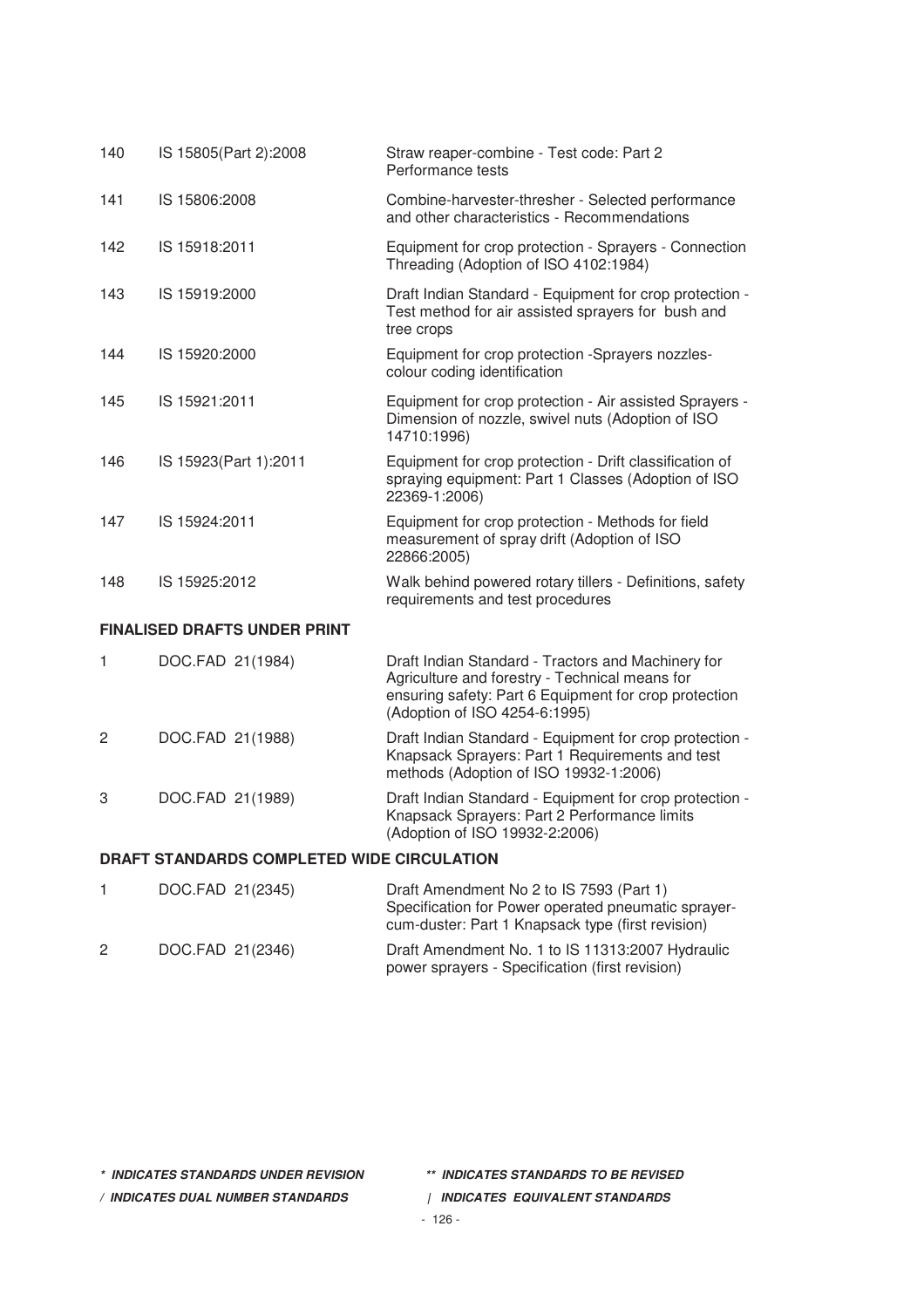| 140                                        | IS 15805(Part 2):2008               | Straw reaper-combine - Test code: Part 2<br>Performance tests                                                                                                                                  |  |
|--------------------------------------------|-------------------------------------|------------------------------------------------------------------------------------------------------------------------------------------------------------------------------------------------|--|
| 141                                        | IS 15806:2008                       | Combine-harvester-thresher - Selected performance<br>and other characteristics - Recommendations                                                                                               |  |
| 142                                        | IS 15918:2011                       | Equipment for crop protection - Sprayers - Connection<br>Threading (Adoption of ISO 4102:1984)                                                                                                 |  |
| 143                                        | IS 15919:2000                       | Draft Indian Standard - Equipment for crop protection -<br>Test method for air assisted sprayers for bush and<br>tree crops                                                                    |  |
| 144                                        | IS 15920:2000                       | Equipment for crop protection -Sprayers nozzles-<br>colour coding identification                                                                                                               |  |
| 145                                        | IS 15921:2011                       | Equipment for crop protection - Air assisted Sprayers -<br>Dimension of nozzle, swivel nuts (Adoption of ISO<br>14710:1996)                                                                    |  |
| 146                                        | IS 15923(Part 1):2011               | Equipment for crop protection - Drift classification of<br>spraying equipment: Part 1 Classes (Adoption of ISO<br>22369-1:2006)                                                                |  |
| 147                                        | IS 15924:2011                       | Equipment for crop protection - Methods for field<br>measurement of spray drift (Adoption of ISO<br>22866:2005)                                                                                |  |
| 148                                        | IS 15925:2012                       | Walk behind powered rotary tillers - Definitions, safety<br>requirements and test procedures                                                                                                   |  |
|                                            | <b>FINALISED DRAFTS UNDER PRINT</b> |                                                                                                                                                                                                |  |
| 1                                          | DOC.FAD 21(1984)                    | Draft Indian Standard - Tractors and Machinery for<br>Agriculture and forestry - Technical means for<br>ensuring safety: Part 6 Equipment for crop protection<br>(Adoption of ISO 4254-6:1995) |  |
| 2                                          | DOC.FAD 21(1988)                    | Draft Indian Standard - Equipment for crop protection -<br>Knapsack Sprayers: Part 1 Requirements and test<br>methods (Adoption of ISO 19932-1:2006)                                           |  |
| 3                                          | DOC.FAD 21(1989)                    | Draft Indian Standard - Equipment for crop protection -<br>Knapsack Sprayers: Part 2 Performance limits<br>(Adoption of ISO 19932-2:2006)                                                      |  |
| DRAFT STANDARDS COMPLETED WIDE CIRCULATION |                                     |                                                                                                                                                                                                |  |
| 1                                          | DOC.FAD 21(2345)                    | Draft Amendment No 2 to IS 7593 (Part 1)<br>Specification for Power operated pneumatic sprayer-<br>cum-duster: Part 1 Knapsack type (first revision)                                           |  |

2 DOC.FAD 21(2346) Draft Amendment No. 1 to IS 11313:2007 Hydraulic power sprayers - Specification (first revision)

**\* INDICATES STANDARDS UNDER REVISION \*\* INDICATES STANDARDS TO BE REVISED**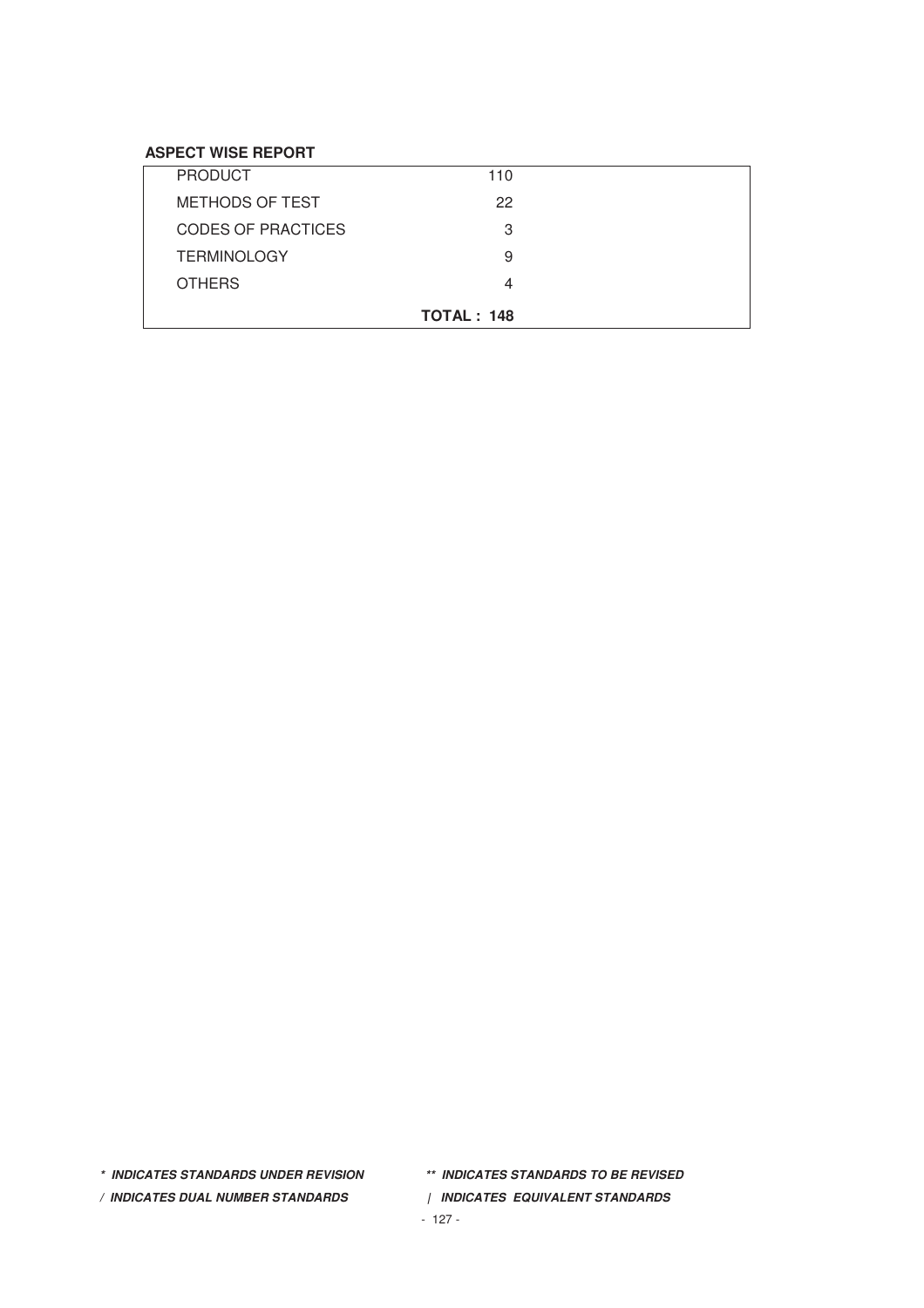# **ASPECT WISE REPORT**

|                           | <b>TOTAL: 148</b> |
|---------------------------|-------------------|
| <b>OTHERS</b>             | 4                 |
| <b>TERMINOLOGY</b>        | 9                 |
| <b>CODES OF PRACTICES</b> | З                 |
| <b>METHODS OF TEST</b>    | 22                |
| <b>PRODUCT</b>            | 110               |

- 
- **\* INDICATES STANDARDS UNDER REVISION \*\* INDICATES STANDARDS TO BE REVISED**
- **/ INDICATES DUAL NUMBER STANDARDS | INDICATES EQUIVALENT STANDARDS**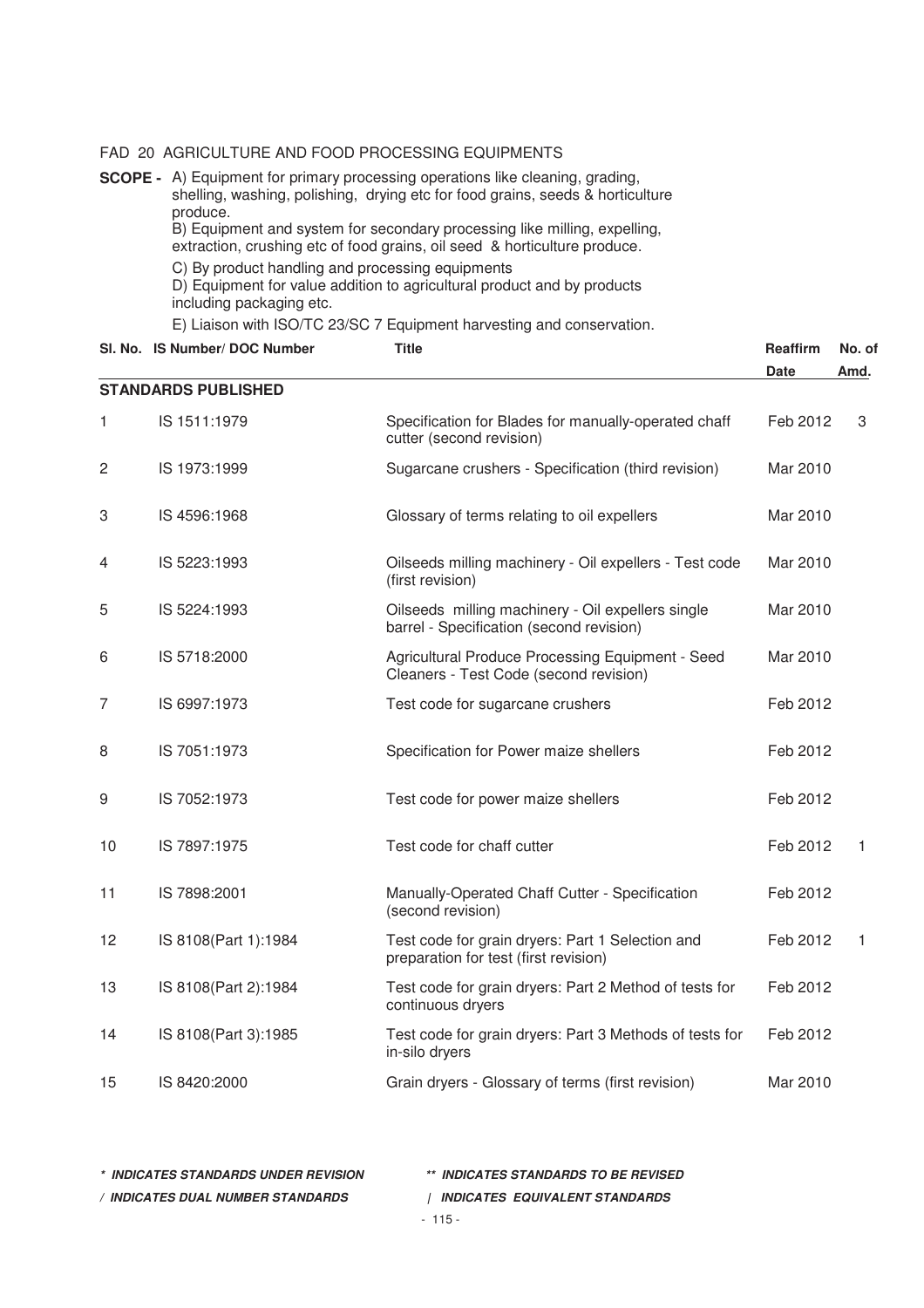#### FAD 20 AGRICULTURE AND FOOD PROCESSING EQUIPMENTS

**SCOPE -** A) Equipment for primary processing operations like cleaning, grading, shelling, washing, polishing, drying etc for food grains, seeds & horticulture produce.

B) Equipment and system for secondary processing like milling, expelling,

extraction, crushing etc of food grains, oil seed & horticulture produce.

C) By product handling and processing equipments

D) Equipment for value addition to agricultural product and by products including packaging etc.

E) Liaison with ISO/TC 23/SC 7 Equipment harvesting and conservation.

SI. No. IS Number/ DOC Number Title Title Title Reaffirm No. of

|              |                            |                                                                                               | <b>Date</b> | Amd.         |
|--------------|----------------------------|-----------------------------------------------------------------------------------------------|-------------|--------------|
|              | <b>STANDARDS PUBLISHED</b> |                                                                                               |             |              |
| 1            | IS 1511:1979               | Specification for Blades for manually-operated chaff<br>cutter (second revision)              | Feb 2012    | 3            |
| $\mathbf{2}$ | IS 1973:1999               | Sugarcane crushers - Specification (third revision)                                           | Mar 2010    |              |
| 3            | IS 4596:1968               | Glossary of terms relating to oil expellers                                                   | Mar 2010    |              |
| 4            | IS 5223:1993               | Oilseeds milling machinery - Oil expellers - Test code<br>(first revision)                    | Mar 2010    |              |
| 5            | IS 5224:1993               | Oilseeds milling machinery - Oil expellers single<br>barrel - Specification (second revision) | Mar 2010    |              |
| 6            | IS 5718:2000               | Agricultural Produce Processing Equipment - Seed<br>Cleaners - Test Code (second revision)    | Mar 2010    |              |
| 7            | IS 6997:1973               | Test code for sugarcane crushers                                                              | Feb 2012    |              |
| 8            | IS 7051:1973               | Specification for Power maize shellers                                                        | Feb 2012    |              |
| 9            | IS 7052:1973               | Test code for power maize shellers                                                            | Feb 2012    |              |
| 10           | IS 7897:1975               | Test code for chaff cutter                                                                    | Feb 2012    | $\mathbf{1}$ |
| 11           | IS 7898:2001               | Manually-Operated Chaff Cutter - Specification<br>(second revision)                           | Feb 2012    |              |
| 12           | IS 8108(Part 1):1984       | Test code for grain dryers: Part 1 Selection and<br>preparation for test (first revision)     | Feb 2012    | 1            |
| 13           | IS 8108(Part 2):1984       | Test code for grain dryers: Part 2 Method of tests for<br>continuous dryers                   | Feb 2012    |              |
| 14           | IS 8108(Part 3):1985       | Test code for grain dryers: Part 3 Methods of tests for<br>in-silo dryers                     | Feb 2012    |              |
| 15           | IS 8420:2000               | Grain dryers - Glossary of terms (first revision)                                             | Mar 2010    |              |

| * INDICATES STANDARDS UNDER REVISION   | ** INDICATES STANDARDS TO BE REVISED  |
|----------------------------------------|---------------------------------------|
| <b>INDICATES DUAL NUMBER STANDARDS</b> | <b>INDICATES EQUIVALENT STANDARDS</b> |
|                                        | $-115-$                               |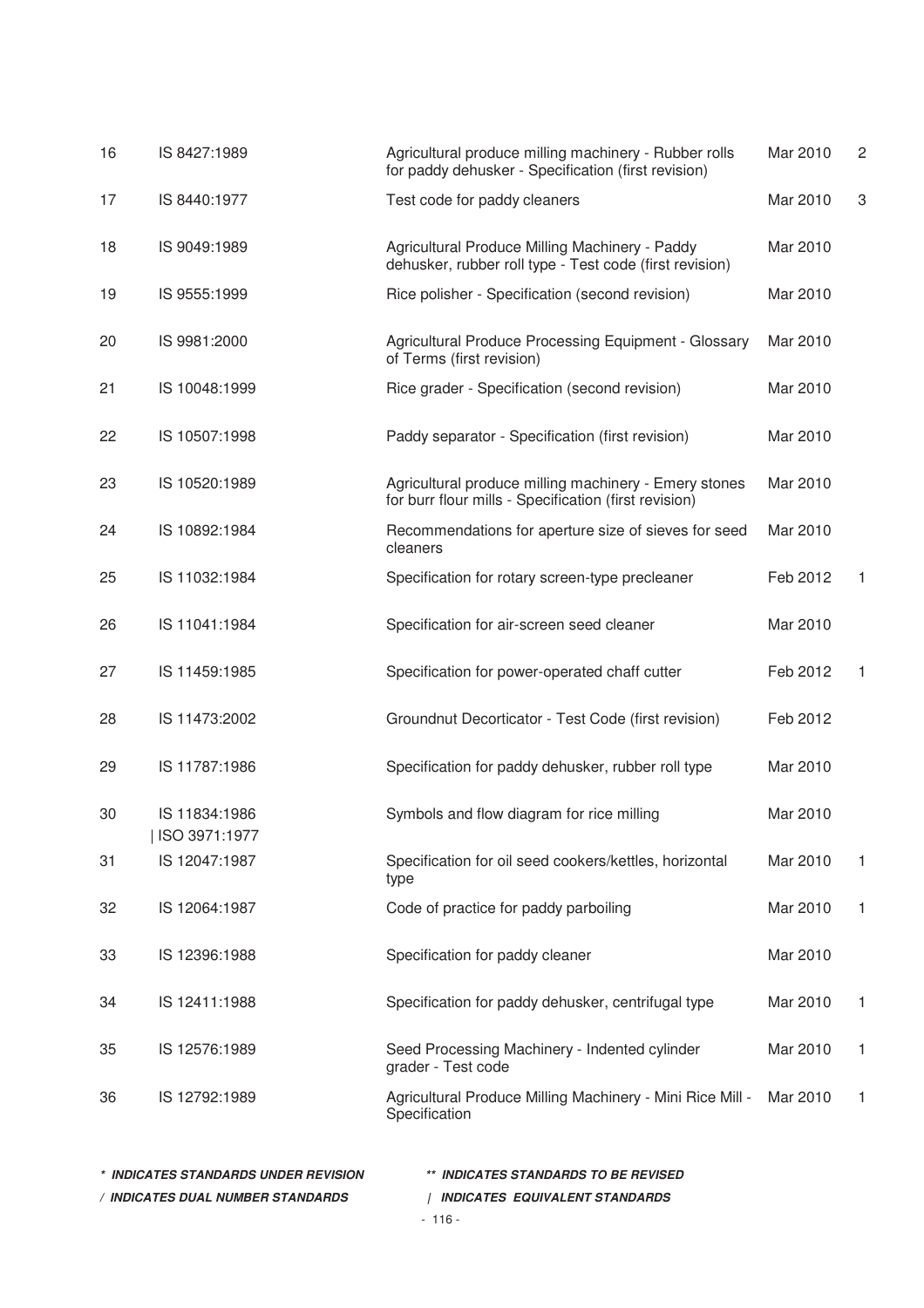| 16 | IS 8427:1989                     | Agricultural produce milling machinery - Rubber rolls<br>for paddy dehusker - Specification (first revision)   | Mar 2010 | $\overline{c}$ |
|----|----------------------------------|----------------------------------------------------------------------------------------------------------------|----------|----------------|
| 17 | IS 8440:1977                     | Test code for paddy cleaners                                                                                   | Mar 2010 | 3              |
| 18 | IS 9049:1989                     | Agricultural Produce Milling Machinery - Paddy<br>dehusker, rubber roll type - Test code (first revision)      | Mar 2010 |                |
| 19 | IS 9555:1999                     | Rice polisher - Specification (second revision)                                                                | Mar 2010 |                |
| 20 | IS 9981:2000                     | Agricultural Produce Processing Equipment - Glossary<br>of Terms (first revision)                              | Mar 2010 |                |
| 21 | IS 10048:1999                    | Rice grader - Specification (second revision)                                                                  | Mar 2010 |                |
| 22 | IS 10507:1998                    | Paddy separator - Specification (first revision)                                                               | Mar 2010 |                |
| 23 | IS 10520:1989                    | Agricultural produce milling machinery - Emery stones<br>for burr flour mills - Specification (first revision) | Mar 2010 |                |
| 24 | IS 10892:1984                    | Recommendations for aperture size of sieves for seed<br>cleaners                                               | Mar 2010 |                |
| 25 | IS 11032:1984                    | Specification for rotary screen-type precleaner                                                                | Feb 2012 | 1              |
| 26 | IS 11041:1984                    | Specification for air-screen seed cleaner                                                                      | Mar 2010 |                |
| 27 | IS 11459:1985                    | Specification for power-operated chaff cutter                                                                  | Feb 2012 | 1              |
| 28 | IS 11473:2002                    | Groundnut Decorticator - Test Code (first revision)                                                            | Feb 2012 |                |
| 29 | IS 11787:1986                    | Specification for paddy dehusker, rubber roll type                                                             | Mar 2010 |                |
| 30 | IS 11834:1986<br>  ISO 3971:1977 | Symbols and flow diagram for rice milling                                                                      | Mar 2010 |                |
| 31 | IS 12047:1987                    | Specification for oil seed cookers/kettles, horizontal<br>type                                                 | Mar 2010 | 1              |
| 32 | IS 12064:1987                    | Code of practice for paddy parboiling                                                                          | Mar 2010 | 1              |
| 33 | IS 12396:1988                    | Specification for paddy cleaner                                                                                | Mar 2010 |                |
| 34 | IS 12411:1988                    | Specification for paddy dehusker, centrifugal type                                                             | Mar 2010 | 1              |
| 35 | IS 12576:1989                    | Seed Processing Machinery - Indented cylinder<br>grader - Test code                                            | Mar 2010 | 1              |
| 36 | IS 12792:1989                    | Agricultural Produce Milling Machinery - Mini Rice Mill -<br>Specification                                     | Mar 2010 | 1              |
|    |                                  |                                                                                                                |          |                |

| * INDICATES STANDARDS UNDER REVISION | ** INDICATES STANDARDS TO BE REVISED |
|--------------------------------------|--------------------------------------|
| / INDICATES DUAL NUMBER STANDARDS    | INDICATES EQUIVALENT STANDARDS       |
|                                      | $-116-$                              |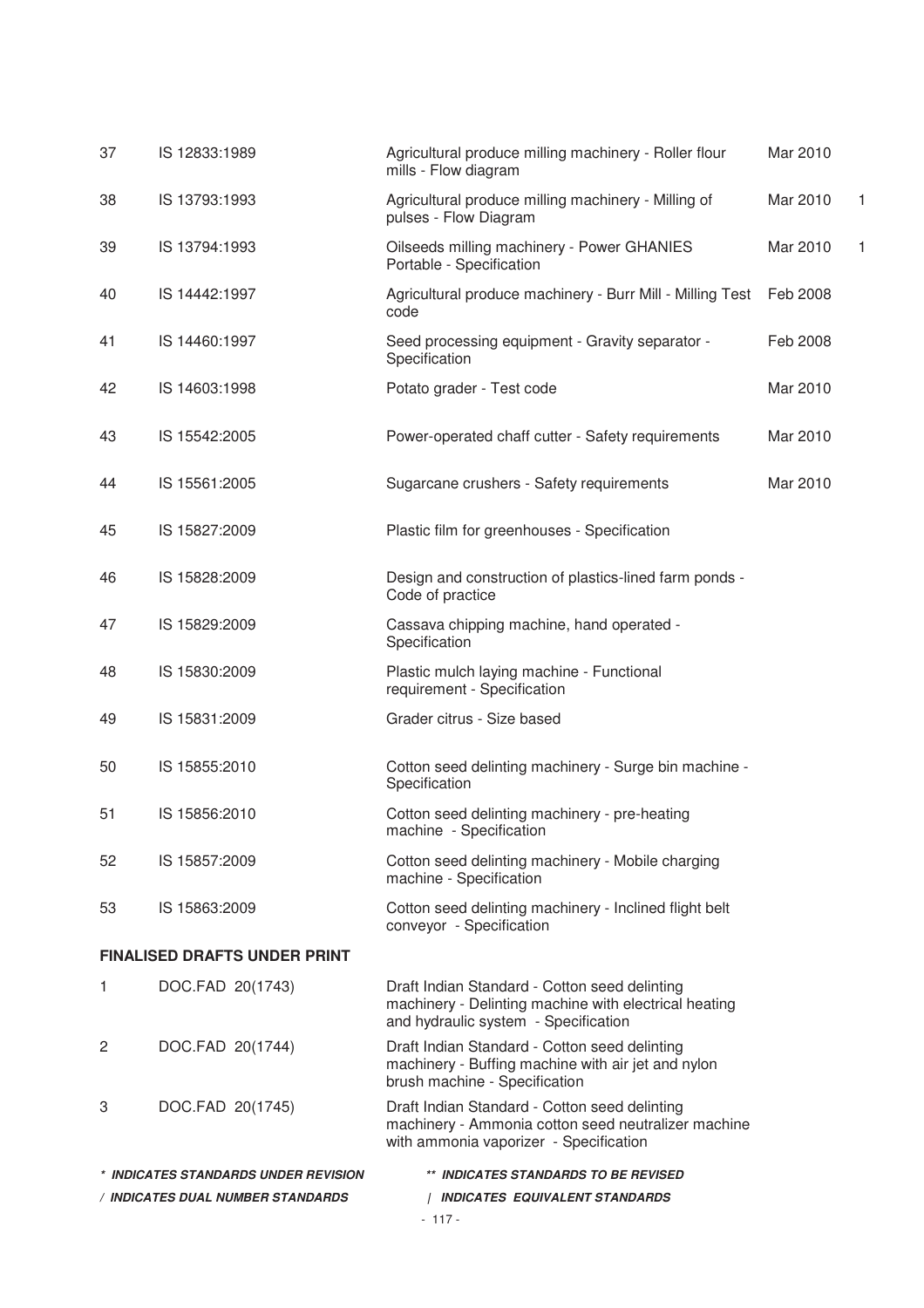| 37                                  | IS 12833:1989                                                                | Agricultural produce milling machinery - Roller flour<br>mills - Flow diagram                                                                  | Mar 2010 |   |  |
|-------------------------------------|------------------------------------------------------------------------------|------------------------------------------------------------------------------------------------------------------------------------------------|----------|---|--|
| 38                                  | IS 13793:1993                                                                | Agricultural produce milling machinery - Milling of<br>pulses - Flow Diagram                                                                   | Mar 2010 | 1 |  |
| 39                                  | IS 13794:1993                                                                | Oilseeds milling machinery - Power GHANIES<br>Portable - Specification                                                                         | Mar 2010 | 1 |  |
| 40                                  | IS 14442:1997                                                                | Agricultural produce machinery - Burr Mill - Milling Test    Feb 2008<br>code                                                                  |          |   |  |
| 41                                  | IS 14460:1997                                                                | Seed processing equipment - Gravity separator -<br>Specification                                                                               | Feb 2008 |   |  |
| 42                                  | IS 14603:1998                                                                | Potato grader - Test code                                                                                                                      | Mar 2010 |   |  |
| 43                                  | IS 15542:2005                                                                | Power-operated chaff cutter - Safety requirements                                                                                              | Mar 2010 |   |  |
| 44                                  | IS 15561:2005                                                                | Sugarcane crushers - Safety requirements                                                                                                       | Mar 2010 |   |  |
| 45                                  | IS 15827:2009                                                                | Plastic film for greenhouses - Specification                                                                                                   |          |   |  |
| 46                                  | IS 15828:2009                                                                | Design and construction of plastics-lined farm ponds -<br>Code of practice                                                                     |          |   |  |
| 47                                  | IS 15829:2009                                                                | Cassava chipping machine, hand operated -<br>Specification                                                                                     |          |   |  |
| 48                                  | IS 15830:2009                                                                | Plastic mulch laying machine - Functional<br>requirement - Specification                                                                       |          |   |  |
| 49                                  | IS 15831:2009                                                                | Grader citrus - Size based                                                                                                                     |          |   |  |
| 50                                  | IS 15855:2010                                                                | Cotton seed delinting machinery - Surge bin machine -<br>Specification                                                                         |          |   |  |
| 51                                  | IS 15856:2010                                                                | Cotton seed delinting machinery - pre-heating<br>machine - Specification                                                                       |          |   |  |
| 52                                  | IS 15857:2009                                                                | Cotton seed delinting machinery - Mobile charging<br>machine - Specification                                                                   |          |   |  |
| 53                                  | IS 15863:2009                                                                | Cotton seed delinting machinery - Inclined flight belt<br>conveyor - Specification                                                             |          |   |  |
| <b>FINALISED DRAFTS UNDER PRINT</b> |                                                                              |                                                                                                                                                |          |   |  |
| $\mathbf{1}$                        | DOC.FAD 20(1743)                                                             | Draft Indian Standard - Cotton seed delinting<br>machinery - Delinting machine with electrical heating<br>and hydraulic system - Specification |          |   |  |
| 2                                   | DOC.FAD 20(1744)                                                             | Draft Indian Standard - Cotton seed delinting<br>machinery - Buffing machine with air jet and nylon<br>brush machine - Specification           |          |   |  |
| 3                                   | DOC.FAD 20(1745)                                                             | Draft Indian Standard - Cotton seed delinting<br>machinery - Ammonia cotton seed neutralizer machine<br>with ammonia vaporizer - Specification |          |   |  |
|                                     | * INDICATES STANDARDS UNDER REVISION<br>** INDICATES STANDARDS TO BE REVISED |                                                                                                                                                |          |   |  |
| / INDICATES DUAL NUMBER STANDARDS   |                                                                              | INDICATES EQUIVALENT STANDARDS                                                                                                                 |          |   |  |